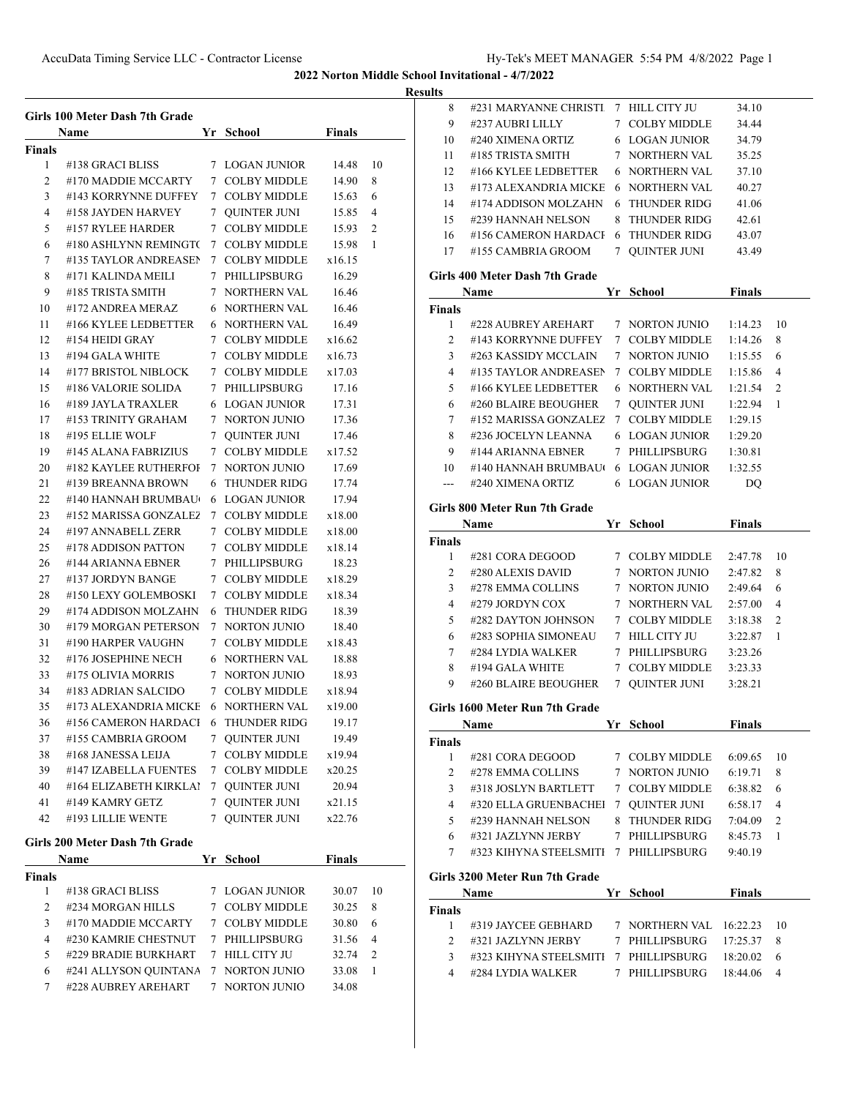**Results**

|              | Girls 100 Meter Dash 7th Grade            |                 |                                  | <b>Finals</b> |                |
|--------------|-------------------------------------------|-----------------|----------------------------------|---------------|----------------|
|              | Name                                      |                 | Yr School                        |               |                |
| Finals<br>1  | #138 GRACI BLISS                          | $7^{\circ}$     | <b>LOGAN JUNIOR</b>              | 14.48         | 10             |
| 2            | #170 MADDIE MCCARTY                       | $7^{\circ}$     | <b>COLBY MIDDLE</b>              | 14.90         | 8              |
| 3            | #143 KORRYNNE DUFFEY                      |                 | 7 COLBY MIDDLE                   | 15.63         | 6              |
| 4            | #158 JAYDEN HARVEY                        | $7^{\circ}$     | <b>QUINTER JUNI</b>              | 15.85         | 4              |
| 5            | #157 RYLEE HARDER                         |                 | 7 COLBY MIDDLE                   | 15.93         | $\overline{2}$ |
| 6            | #180 ASHLYNN REMINGTO                     |                 | 7 COLBY MIDDLE                   | 15.98         | 1              |
| 7            | #135 TAYLOR ANDREASEN                     | $7^{\circ}$     | <b>COLBY MIDDLE</b>              | x16.15        |                |
| 8            | #171 KALINDA MEILI                        | $7^{\circ}$     | PHILLIPSBURG                     | 16.29         |                |
| 9            | #185 TRISTA SMITH                         |                 | 7 NORTHERN VAL                   | 16.46         |                |
| 10           | #172 ANDREA MERAZ                         |                 | 6 NORTHERN VAL                   | 16.46         |                |
| 11           | #166 KYLEE LEDBETTER                      |                 | 6 NORTHERN VAL                   | 16.49         |                |
| 12           | #154 HEIDI GRAY                           | $7^{\circ}$     | <b>COLBY MIDDLE</b>              | x16.62        |                |
| 13           | #194 GALA WHITE                           | 7 <sup>7</sup>  | <b>COLBY MIDDLE</b>              | x16.73        |                |
| 14           | #177 BRISTOL NIBLOCK                      |                 | 7 COLBY MIDDLE                   |               |                |
|              |                                           |                 | PHILLIPSBURG                     | x17.03        |                |
| 15           | #186 VALORIE SOLIDA<br>#189 JAYLA TRAXLER | 7               |                                  | 17.16         |                |
| 16           | #153 TRINITY GRAHAM                       |                 | 6 LOGAN JUNIOR<br>7 NORTON JUNIO | 17.31         |                |
| 17           |                                           |                 |                                  | 17.36         |                |
| 18           | #195 ELLIE WOLF                           |                 | 7 OUINTER JUNI                   | 17.46         |                |
| 19           | #145 ALANA FABRIZIUS                      | 7               | <b>COLBY MIDDLE</b>              | x17.52        |                |
| 20           | #182 KAYLEE RUTHERFOI                     | 7               | <b>NORTON JUNIO</b>              | 17.69         |                |
| 21           | #139 BREANNA BROWN                        | 6               | <b>THUNDER RIDG</b>              | 17.74         |                |
| 22           | #140 HANNAH BRUMBAU                       | 6               | <b>LOGAN JUNIOR</b>              | 17.94         |                |
| 23           | #152 MARISSA GONZALEZ                     | $\tau$          | <b>COLBY MIDDLE</b>              | x18.00        |                |
| 24           | #197 ANNABELL ZERR                        | $7\phantom{.0}$ | <b>COLBY MIDDLE</b>              | x18.00        |                |
| 25           | #178 ADDISON PATTON                       | 7               | <b>COLBY MIDDLE</b>              | x18.14        |                |
| 26           | #144 ARIANNA EBNER                        | $7^{\circ}$     | PHILLIPSBURG                     | 18.23         |                |
| 27           | #137 JORDYN BANGE                         | $7^{\circ}$     | <b>COLBY MIDDLE</b>              | x18.29        |                |
| 28           | #150 LEXY GOLEMBOSKI                      |                 | 7 COLBY MIDDLE                   | x18.34        |                |
| 29           | #174 ADDISON MOLZAHN                      | 6               | <b>THUNDER RIDG</b>              | 18.39         |                |
| 30           | #179 MORGAN PETERSON                      | $7\phantom{.0}$ | NORTON JUNIO                     | 18.40         |                |
| 31           | #190 HARPER VAUGHN                        | 7 <sup>7</sup>  | <b>COLBY MIDDLE</b>              | x18.43        |                |
| 32           | #176 JOSEPHINE NECH                       |                 | 6 NORTHERN VAL                   | 18.88         |                |
| 33           | #175 OLIVIA MORRIS                        | $7^{\circ}$     | <b>NORTON JUNIO</b>              | 18.93         |                |
| 34           | #183 ADRIAN SALCIDO                       | 7               | <b>COLBY MIDDLE</b>              | x18.94        |                |
| 35           | #173 ALEXANDRIA MICKE                     |                 | <b>6 NORTHERN VAL</b>            | x19.00        |                |
| 36           | #156 CAMERON HARDACI                      |                 | 6 THUNDER RIDG                   | 19.17         |                |
| 37           | #155 CAMBRIA GROOM                        | 7               | <b>QUINTER JUNI</b>              | 19.49         |                |
| 38           | #168 JANESSA LEIJA                        |                 | 7 COLBY MIDDLE                   | x19.94        |                |
| 39           | #147 IZABELLA FUENTES                     |                 | 7 COLBY MIDDLE                   | x20.25        |                |
| 40           | #164 ELIZABETH KIRKLAI                    |                 | 7 QUINTER JUNI                   | 20.94         |                |
| 41           | #149 KAMRY GETZ                           |                 | 7 QUINTER JUNI                   | x21.15        |                |
| 42           | #193 LILLIE WENTE                         | 7               | <b>QUINTER JUNI</b>              | x22.76        |                |
|              | Girls 200 Meter Dash 7th Grade            |                 |                                  |               |                |
|              | Name                                      | Yr              | <b>School</b>                    | <b>Finals</b> |                |
| Finals       |                                           |                 |                                  |               |                |
| 1            | #138 GRACI BLISS                          |                 | 7 LOGAN JUNIOR                   | 30.07         | 10             |
| $\mathbf{2}$ | #234 MORGAN HILLS                         |                 | 7 COLBY MIDDLE                   | 30.25         | 8              |
| 3            | #170 MADDIE MCCARTY                       |                 | 7 COLBY MIDDLE                   | 30.80         | 6              |
| 4            | #230 KAMRIE CHESTNUT                      |                 | 7 PHILLIPSBURG                   | 31.56         | 4              |
| 5            | #229 BRADIE BURKHART                      |                 | 7 HILL CITY JU                   | 32.74         | 2              |
| 6            | #241 ALLYSON QUINTANA                     |                 | 7 NORTON JUNIO                   | 33.08         | 1              |
| 7            | #228 AUBREY AREHART                       | 7               | <b>NORTON JUNIO</b>              | 34.08         |                |
|              |                                           |                 |                                  |               |                |

| นแร           |                                       |   |                       |               |    |
|---------------|---------------------------------------|---|-----------------------|---------------|----|
| 8             | #231 MARYANNE CHRISTI 7 HILL CITY JU  |   |                       | 34.10         |    |
| 9             | #237 AUBRI LILLY                      |   | 7 COLBY MIDDLE        | 34.44         |    |
| 10            | #240 XIMENA ORTIZ                     |   | <b>6 LOGAN JUNIOR</b> | 34.79         |    |
| 11            | #185 TRISTA SMITH                     |   | 7 NORTHERN VAL        | 35.25         |    |
| 12            | #166 KYLEE LEDBETTER                  |   | <b>6 NORTHERN VAL</b> | 37.10         |    |
| 13            | #173 ALEXANDRIA MICKE                 |   | 6 NORTHERN VAL        | 40.27         |    |
| 14            | #174 ADDISON MOLZAHN                  | 6 | THUNDER RIDG          | 41.06         |    |
| 15            | #239 HANNAH NELSON                    | 8 | THUNDER RIDG          | 42.61         |    |
|               | 16 #156 CAMERON HARDACI               |   | 6 THUNDER RIDG        | 43.07         |    |
| 17            | #155 CAMBRIA GROOM                    |   | 7 QUINTER JUNI        | 43.49         |    |
|               | Girls 400 Meter Dash 7th Grade        |   |                       |               |    |
|               | Name                                  |   | Yr School             | Finals        |    |
| Finals        |                                       |   |                       |               |    |
| 1             | #228 AUBREY AREHART                   |   | 7 NORTON JUNIO        | 1:14.23       | 10 |
| 2             | #143 KORRYNNE DUFFEY                  |   | 7 COLBY MIDDLE        | 1:14.26       | 8  |
| 3             | #263 KASSIDY MCCLAIN                  |   | 7 NORTON JUNIO        | 1:15.55       | 6  |
| 4             | #135 TAYLOR ANDREASEN                 |   | 7 COLBY MIDDLE        | 1:15.86       | 4  |
| 5             | #166 KYLEE LEDBETTER                  |   | 6 NORTHERN VAL        | 1:21.54       | 2  |
| 6             | #260 BLAIRE BEOUGHER                  |   | 7 QUINTER JUNI        | 1:22.94       | 1  |
| 7             | #152 MARISSA GONZALEZ                 |   | 7 COLBY MIDDLE        | 1:29.15       |    |
| 8             | #236 JOCELYN LEANNA                   |   | <b>6 LOGAN JUNIOR</b> | 1:29.20       |    |
| 9             | #144 ARIANNA EBNER                    |   | 7 PHILLIPSBURG        | 1:30.81       |    |
| 10            | #140 HANNAH BRUMBAU( 6 LOGAN JUNIOR   |   |                       | 1:32.55       |    |
| ---           | #240 XIMENA ORTIZ                     |   | 6 LOGAN JUNIOR        | DQ            |    |
|               |                                       |   |                       |               |    |
|               | Girls 800 Meter Run 7th Grade         |   |                       |               |    |
|               | Name                                  |   | Yr School             | <b>Finals</b> |    |
| Finals        |                                       |   |                       |               |    |
| 1             | #281 CORA DEGOOD                      |   | 7 COLBY MIDDLE        | 2:47.78       | 10 |
| 2             | #280 ALEXIS DAVID                     |   | 7 NORTON JUNIO        | 2:47.82       | 8  |
| 3             | #278 EMMA COLLINS                     |   | 7 NORTON JUNIO        | 2:49.64       | 6  |
| 4             | #279 JORDYN COX                       |   | 7 NORTHERN VAL        | 2:57.00       | 4  |
| 5             | #282 DAYTON JOHNSON                   |   | 7 COLBY MIDDLE        | 3:18.38       | 2  |
| 6             | #283 SOPHIA SIMONEAU                  |   | 7 HILL CITY JU        | 3:22.87       | 1  |
| 7             | #284 LYDIA WALKER                     |   | 7 PHILLIPSBURG        | 3:23.26       |    |
| 8             | #194 GALA WHITE                       |   | 7 COLBY MIDDLE        | 3:23.33       |    |
| 9             | #260 BLAIRE BEOUGHER                  |   | 7 QUINTER JUNI        | 3:28.21       |    |
|               | Girls 1600 Meter Run 7th Grade        |   |                       |               |    |
|               | Name                                  |   | Yr School             | <b>Finals</b> |    |
| <b>Finals</b> |                                       |   |                       |               |    |
| $\mathbf{1}$  | #281 CORA DEGOOD                      |   | 7 COLBY MIDDLE        | 6:09.65       | 10 |
| 2             | #278 EMMA COLLINS                     |   | 7 NORTON JUNIO        | 6:19.71       | 8  |
| 3             | #318 JOSLYN BARTLETT                  |   | 7 COLBY MIDDLE        | 6:38.82       | 6  |
| 4             | #320 ELLA GRUENBACHEI                 |   | 7 QUINTER JUNI        | 6:58.17       | 4  |
| 5             | #239 HANNAH NELSON                    |   | 8 THUNDER RIDG        | 7:04.09       | 2  |
| 6             | #321 JAZLYNN JERBY                    |   | 7 PHILLIPSBURG        | 8:45.73       | 1  |
| 7             | #323 KIHYNA STEELSMITI 7 PHILLIPSBURG |   |                       | 9:40.19       |    |
|               | Girls 3200 Meter Run 7th Grade        |   |                       |               |    |
|               | Name                                  |   | Yr School             | <b>Finals</b> |    |
| <b>Finals</b> |                                       |   |                       |               |    |
| 1             | #319 JAYCEE GEBHARD                   |   | 7 NORTHERN VAL        | 16:22.23      | 10 |
| 2             | #321 JAZLYNN JERBY                    |   | 7 PHILLIPSBURG        | 17:25.37      | 8  |
| 3             | #323 KIHYNA STEELSMITI 7 PHILLIPSBURG |   |                       | 18:20.02      | 6  |
|               | #284 LYDIA WALKER                     |   | 7 PHILLIPSBURG        | 18:44.06      | 4  |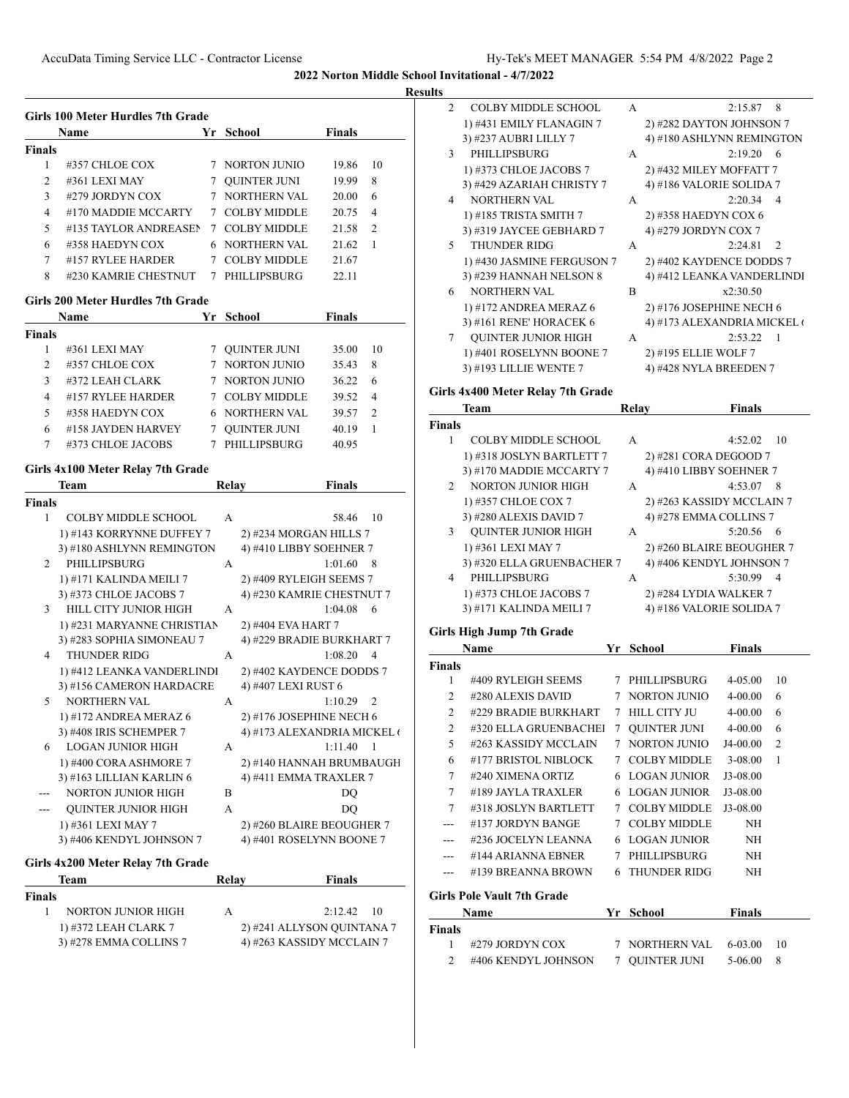|                | <b>Name</b>           | Yr | School              | <b>Finals</b> |               |
|----------------|-----------------------|----|---------------------|---------------|---------------|
| <b>Finals</b>  |                       |    |                     |               |               |
|                | #357 CHLOE COX        |    | NORTON JUNIO        | 19.86         | 10            |
| $\overline{2}$ | #361 LEXI MAY         |    | <b>QUINTER JUNI</b> | 19.99         | 8             |
| 3              | #279 JORDYN COX       |    | <b>NORTHERN VAL</b> | 20.00         | 6             |
| 4              | #170 MADDIE MCCARTY   |    | 7 COLBY MIDDLE      | 20.75         | 4             |
| 5              | #135 TAYLOR ANDREASEN | 7  | <b>COLBY MIDDLE</b> | 21.58         | $\mathcal{L}$ |
| 6              | #358 HAEDYN COX       |    | 6 NORTHERN VAL      | 21.62         |               |
| 7              | #157 RYLEE HARDER     |    | COLBY MIDDLE        | 21.67         |               |
| 8              | #230 KAMRIE CHESTNUT  | 7  | PHILLIPSBURG        | 22.11         |               |

#### **Girls 200 Meter Hurdles 7th Grade**

|                | <b>Name</b>        |   | Yr School             | <b>Finals</b> |                |
|----------------|--------------------|---|-----------------------|---------------|----------------|
| <b>Finals</b>  |                    |   |                       |               |                |
|                | #361 LEXI MAY      |   | <b>QUINTER JUNI</b>   | 35.00         | 10             |
| $\mathfrak{D}$ | #357 CHLOE COX     |   | NORTON JUNIO          | 35.43         | 8              |
| 3              | #372 LEAH CLARK    |   | NORTON JUNIO          | 36.22         | 6              |
| 4              | #157 RYLEE HARDER  | 7 | <b>COLBY MIDDLE</b>   | 39.52         | $\overline{4}$ |
| 5              | #358 HAEDYN COX    |   | <b>6 NORTHERN VAL</b> | 39.57         | $\mathcal{D}$  |
| 6              | #158 JAYDEN HARVEY |   | <b>OUINTER JUNI</b>   | 40.19         |                |
|                | #373 CHLOE JACOBS  |   | PHILLIPSBURG          | 40.95         |                |

### **Girls 4x100 Meter Relay 7th Grade**

|               | Team                              | Relay        | <b>Finals</b>               |
|---------------|-----------------------------------|--------------|-----------------------------|
| <b>Finals</b> |                                   |              |                             |
| 1             | <b>COLBY MIDDLE SCHOOL</b>        | $\mathsf{A}$ | 10<br>58.46                 |
|               | 1) #143 KORRYNNE DUFFEY 7         |              | 2) #234 MORGAN HILLS 7      |
|               | 3) #180 ASHLYNN REMINGTON         |              | 4) #410 LIBBY SOEHNER 7     |
| $\mathcal{D}$ | PHILLIPSBURG                      | A            | 1:01.60<br>- 8              |
|               | 1) #171 KALINDA MEILI 7           |              | 2) #409 RYLEIGH SEEMS 7     |
|               | 3) #373 CHLOE JACOBS 7            |              | 4) #230 KAMRIE CHESTNUT 7   |
| 3             | HILL CITY JUNIOR HIGH             | A            | 1:04.08<br>6                |
|               | 1) #231 MARYANNE CHRISTIAN        |              | 2) #404 EVA HART 7          |
|               | 3) #283 SOPHIA SIMONEAU 7         |              | 4) #229 BRADIE BURKHART 7   |
| 4             | <b>THUNDER RIDG</b>               | $\mathsf{A}$ | 1:08.20<br>$\overline{4}$   |
|               | 1) #412 LEANKA VANDERLINDI        |              | 2) #402 KAYDENCE DODDS 7    |
|               | 3) #156 CAMERON HARDACRE          |              | 4) #407 LEXI RUST 6         |
| $\sim$        | <b>NORTHERN VAL</b>               | A            | $\mathfrak{D}$<br>1:10.29   |
|               | 1) #172 ANDREA MERAZ 6            |              | 2) #176 JOSEPHINE NECH 6    |
|               | 3) #408 IRIS SCHEMPER 7           |              | 4) #173 ALEXANDRIA MICKEL ( |
| 6             | <b>LOGAN JUNIOR HIGH</b>          | A            | 1:11.40<br>$\overline{1}$   |
|               | 1) #400 CORA ASHMORE 7            |              | 2) #140 HANNAH BRUMBAUGH    |
|               | 3) #163 LILLIAN KARLIN 6          |              | 4) #411 EMMA TRAXLER 7      |
|               | <b>NORTON JUNIOR HIGH</b>         | R            | DO                          |
|               | <b>QUINTER JUNIOR HIGH</b>        | A            | DO                          |
|               | 1) #361 LEXI MAY 7                |              | 2) #260 BLAIRE BEOUGHER 7   |
|               | 3) #406 KENDYL JOHNSON 7          |              | 4) #401 ROSELYNN BOONE 7    |
|               | Girls 4x200 Meter Relay 7th Grade |              |                             |

| Team                   | Relay | <b>Finals</b>              |
|------------------------|-------|----------------------------|
| Finals                 |       |                            |
| NORTON JUNIOR HIGH     | А     | $2:12.42 \quad 10$         |
| 1) #372 LEAH CLARK 7   |       | 2) #241 ALLYSON QUINTANA 7 |
| 3) #278 EMMA COLLINS 7 |       | 4) #263 KASSIDY MCCLAIN 7  |

| 2  | <b>COLBY MIDDLE SCHOOL</b> | A | 8<br>2:15.87                |
|----|----------------------------|---|-----------------------------|
|    | 1) #431 EMILY FLANAGIN 7   |   | 2) #282 DAYTON JOHNSON 7    |
|    | 3) #237 AUBRI LILLY 7      |   | 4) #180 ASHLYNN REMINGTON   |
| 3  | PHILLIPSBURG               | A | 2:19.20<br>6                |
|    | 1) #373 CHLOE JACOBS 7     |   | 2) #432 MILEY MOFFATT 7     |
|    | 3) #429 AZARIAH CHRISTY 7  |   | 4) #186 VALORIE SOLIDA 7    |
| 4  | <b>NORTHERN VAL</b>        | A | 2:20.34<br>$\overline{4}$   |
|    | 1) #185 TRISTA SMITH 7     |   | 2) #358 HAEDYN COX 6        |
|    | 3) #319 JAYCEE GEBHARD 7   |   | 4) #279 JORDYN COX 7        |
| 5. | THUNDER RIDG               | A | $2:24.81$ 2                 |
|    | 1) #430 JASMINE FERGUSON 7 |   | 2) #402 KAYDENCE DODDS 7    |
|    | 3) #239 HANNAH NELSON 8    |   | 4) #412 LEANKA VANDERLINDI  |
| 6  | <b>NORTHERN VAL</b>        | B | x2:30.50                    |
|    | 1) #172 ANDREA MERAZ 6     |   | 2) #176 JOSEPHINE NECH 6    |
|    | 3) #161 RENE' HORACEK 6    |   | 4) #173 ALEXANDRIA MICKEL ( |
| 7  | <b>QUINTER JUNIOR HIGH</b> | A | 2:53.22<br>1                |
|    | 1) #401 ROSELYNN BOONE 7   |   | 2) #195 ELLIE WOLF 7        |
|    | 3) #193 LILLIE WENTE 7     |   | 4) #428 NYLA BREEDEN 7      |

# **Girls 4x400 Meter Relay 7th Grade**

|                | <b>Team</b>                | Relay        | <b>Finals</b>             |
|----------------|----------------------------|--------------|---------------------------|
| <b>Finals</b>  |                            |              |                           |
|                | <b>COLBY MIDDLE SCHOOL</b> | A            | 4:52.02<br>10             |
|                | 1) #318 JOSLYN BARTLETT 7  |              | 2) #281 CORA DEGOOD 7     |
|                | 3) #170 MADDIE MCCARTY 7   |              | 4) #410 LIBBY SOEHNER 7   |
| $\mathfrak{D}$ | <b>NORTON JUNIOR HIGH</b>  | A            | 4:53.07<br>8              |
|                | 1) #357 CHLOE COX 7        |              | 2) #263 KASSIDY MCCLAIN 7 |
|                | 3) #280 ALEXIS DAVID 7     |              | 4) #278 EMMA COLLINS 7    |
| 3              | <b>QUINTER JUNIOR HIGH</b> | $\mathsf{A}$ | 5:20.56<br>- 6            |
|                | 1) #361 LEXI MAY 7         |              | 2) #260 BLAIRE BEOUGHER 7 |
|                | 3) #320 ELLA GRUENBACHER 7 |              | 4) #406 KENDYL JOHNSON 7  |
| 4              | PHILLIPSBURG               | A            | 5:30.99<br>$\overline{4}$ |
|                | 1) #373 CHLOE JACOBS 7     |              | 2) #284 LYDIA WALKER 7    |
|                | 3) #171 KALINDA MEILI 7    |              | 4) #186 VALORIE SOLIDA 7  |

## **Girls High Jump 7th Grade**

|                | Name                              | Yr | School              | Finals      |                |
|----------------|-----------------------------------|----|---------------------|-------------|----------------|
| <b>Finals</b>  |                                   |    |                     |             |                |
| 1              | #409 RYLEIGH SEEMS                | 7  | PHILLIPSBURG        | $4 - 0.500$ | 10             |
| 2              | #280 ALEXIS DAVID                 | 7  | <b>NORTON JUNIO</b> | $4 - 00.00$ | 6              |
| 2              | #229 BRADIE BURKHART              | 7  | <b>HILL CITY JU</b> | $4 - 00.00$ | 6              |
| $\overline{c}$ | #320 ELLA GRUENBACHEI             | 7  | <b>OUINTER JUNI</b> | $4 - 00.00$ | 6              |
| 5              | #263 KASSIDY MCCLAIN              | 7  | NORTON JUNIO        | J4-00.00    | $\overline{2}$ |
| 6              | #177 BRISTOL NIBLOCK              | 7  | <b>COLBY MIDDLE</b> | 3-08.00     | 1              |
| 7              | #240 XIMENA ORTIZ                 | 6  | LOGAN JUNIOR        | J3-08.00    |                |
| 7              | #189 JAYLA TRAXLER                | 6  | <b>LOGAN JUNIOR</b> | J3-08.00    |                |
| 7              | #318 JOSLYN BARTLETT              | 7  | <b>COLBY MIDDLE</b> | J3-08.00    |                |
| ---            | #137 JORDYN BANGE                 | 7  | <b>COLBY MIDDLE</b> | NH          |                |
| ---            | #236 JOCELYN LEANNA               | 6  | <b>LOGAN JUNIOR</b> | NH          |                |
|                | #144 ARIANNA EBNER                |    | PHILLIPSBURG        | NH          |                |
|                | #139 BREANNA BROWN                | 6  | THUNDER RIDG        | NH          |                |
|                | <b>Girls Pole Vault 7th Grade</b> |    |                     |             |                |
|                | Name                              | Yr | School              | Finals      |                |

| Finals |                     |                        |             |     |
|--------|---------------------|------------------------|-------------|-----|
|        | #279 JORDYN COX     | 7 NORTHERN VAL 6-03.00 |             | -10 |
|        | #406 KENDYL JOHNSON | 7 OUINTER JUNI         | $5-06.00$ 8 |     |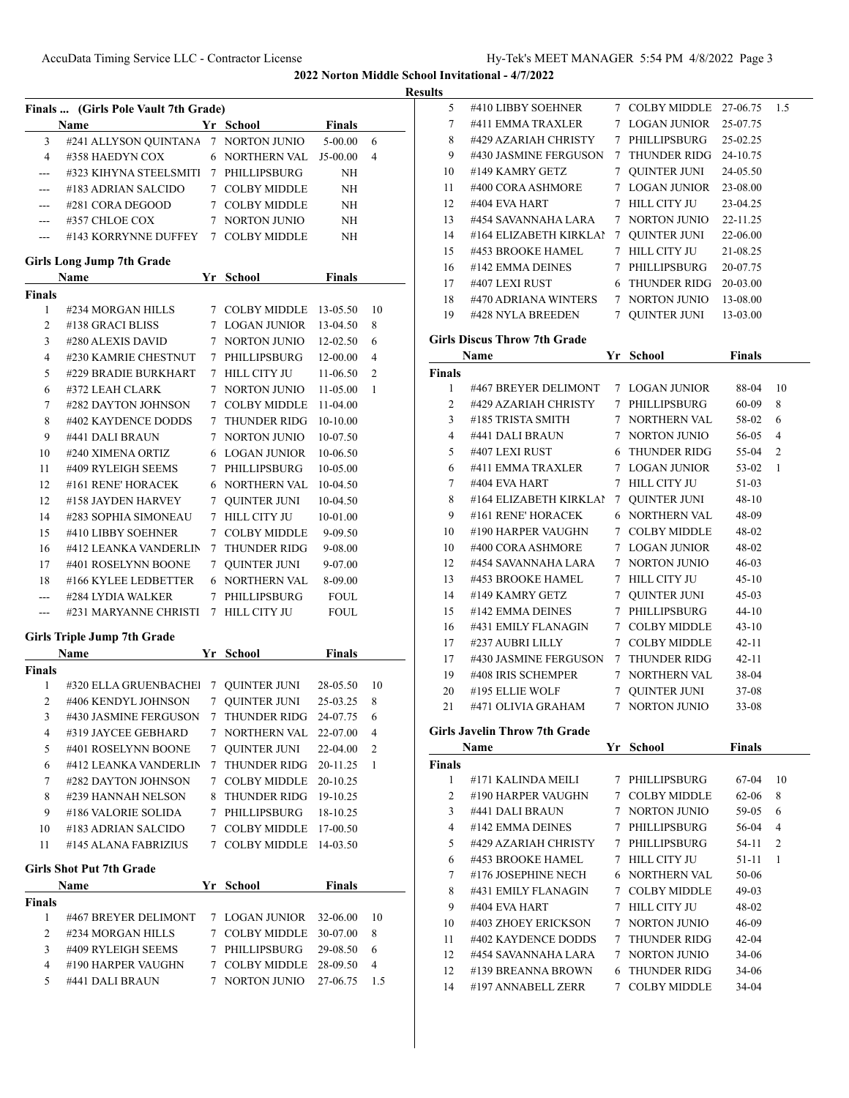**Results**

|                  | Finals  (Girls Pole Vault 7th Grade)<br>Name |             | Yr School<br><b>Finals</b>       |                      |                |
|------------------|----------------------------------------------|-------------|----------------------------------|----------------------|----------------|
| 3                | #241 ALLYSON QUINTANA 7 NORTON JUNIO         |             |                                  | 5-00.00              | 6              |
| $\overline{4}$   | #358 HAEDYN COX                              |             | 6 NORTHERN VAL                   | J5-00.00             | $\overline{4}$ |
| $---$            | #323 KIHYNA STEELSMITI 7 PHILLIPSBURG        |             |                                  | NH                   |                |
|                  | #183 ADRIAN SALCIDO                          |             | 7 COLBY MIDDLE                   |                      |                |
| $---$            |                                              |             |                                  | NH                   |                |
| ---              | #281 CORA DEGOOD                             |             | 7 COLBY MIDDLE                   | NH                   |                |
|                  | #357 CHLOE COX                               |             | 7 NORTON JUNIO                   | NH                   |                |
| $---$            | #143 KORRYNNE DUFFEY 7 COLBY MIDDLE          |             |                                  | NH                   |                |
|                  | <b>Girls Long Jump 7th Grade</b><br>Name     |             | Yr School                        | <b>Finals</b>        |                |
| <b>Finals</b>    |                                              |             |                                  |                      |                |
| 1                | #234 MORGAN HILLS                            |             | 7 COLBY MIDDLE 13-05.50          |                      | 10             |
| 2                | #138 GRACI BLISS                             |             | 7 LOGAN JUNIOR                   | 13-04.50             | 8              |
| 3                | #280 ALEXIS DAVID                            |             | 7 NORTON JUNIO                   | $12 - 02.50$         | 6              |
| $\overline{4}$   | #230 KAMRIE CHESTNUT                         |             | 7 PHILLIPSBURG                   | 12-00.00             | $\overline{4}$ |
| 5                | #229 BRADIE BURKHART                         |             | 7 HILL CITY JU                   | $11-06.50$           | 2              |
|                  |                                              |             |                                  |                      |                |
| 6                | #372 LEAH CLARK                              |             | 7 NORTON JUNIO                   | $11 - 05.00$         | 1              |
| 7                | #282 DAYTON JOHNSON                          |             | 7 COLBY MIDDLE                   | 11-04.00             |                |
| 8                | #402 KAYDENCE DODDS                          |             | 7 THUNDER RIDG                   | 10-10.00             |                |
| 9                | #441 DALI BRAUN                              |             | 7 NORTON JUNIO                   | 10-07.50             |                |
| 10               | #240 XIMENA ORTIZ                            |             | 6 LOGAN JUNIOR                   | 10-06.50             |                |
| 11               | #409 RYLEIGH SEEMS                           | $7^{\circ}$ | PHILLIPSBURG                     | 10-05.00             |                |
| 12               | #161 RENE' HORACEK                           |             | 6 NORTHERN VAL                   | 10-04.50             |                |
| 12               | #158 JAYDEN HARVEY                           | $7^{\circ}$ | <b>QUINTER JUNI</b>              | 10-04.50             |                |
| 14               | #283 SOPHIA SIMONEAU                         |             | 7 HILL CITY JU                   | 10-01.00             |                |
| 15               | #410 LIBBY SOEHNER                           | $7^{\circ}$ | <b>COLBY MIDDLE</b>              | 9-09.50              |                |
| 16               | #412 LEANKA VANDERLIN                        | 7           | THUNDER RIDG                     | 9-08.00              |                |
| 17               | #401 ROSELYNN BOONE                          | 7           | QUINTER JUNI                     | 9-07.00              |                |
| 18               | #166 KYLEE LEDBETTER                         | 6           | NORTHERN VAL                     | 8-09.00              |                |
| $---$            | #284 LYDIA WALKER                            | 7           | PHILLIPSBURG                     | <b>FOUL</b>          |                |
|                  | #231 MARYANNE CHRISTI                        | $7^{\circ}$ | HILL CITY JU                     | <b>FOUL</b>          |                |
|                  | <b>Girls Triple Jump 7th Grade</b>           |             |                                  |                      |                |
|                  | Name                                         |             | Yr School                        | <b>Finals</b>        |                |
| Finals           |                                              |             |                                  |                      |                |
| 1                | #320 ELLA GRUENBACHE 7                       |             | QUINTER JUNI 28-05.50            |                      | 10             |
| $\overline{2}$   | #406 KENDYL JOHNSON                          | $7^{\circ}$ | QUINTER JUNI                     | 25-03.25             | 8              |
| 3                | #430 JASMINE FERGUSON                        | 7           | THUNDER RIDG                     | 24-07.75             | 6              |
| 4                | #319 JAYCEE GEBHARD                          | 7           | <b>NORTHERN VAL</b>              | 22-07.00             | 4              |
| 5                | #401 ROSELYNN BOONE                          | 7           | QUINTER JUNI                     | 22-04.00             | 2              |
| 6                | #412 LEANKA VANDERLIN                        | 7           | THUNDER RIDG                     | 20-11.25             | 1              |
| 7                | #282 DAYTON JOHNSON                          | 7           | COLBY MIDDLE                     | 20-10.25             |                |
| 8                | #239 HANNAH NELSON                           | 8           | THUNDER RIDG                     | 19-10.25             |                |
| 9                | #186 VALORIE SOLIDA                          |             | 7 PHILLIPSBURG                   | 18-10.25             |                |
| 10               | #183 ADRIAN SALCIDO                          |             | 7 COLBY MIDDLE                   | 17-00.50             |                |
| 11               | #145 ALANA FABRIZIUS                         |             | 7 COLBY MIDDLE                   | 14-03.50             |                |
|                  | <b>Girls Shot Put 7th Grade</b>              |             |                                  |                      |                |
|                  | Name                                         |             | Yr School                        | <b>Finals</b>        |                |
|                  |                                              |             |                                  |                      |                |
|                  |                                              |             |                                  |                      | 10             |
| $\mathbf{1}$     | #467 BREYER DELIMONT                         |             | 7 LOGAN JUNIOR                   | 32-06.00             |                |
| $\overline{2}$   | #234 MORGAN HILLS                            | 7           | <b>COLBY MIDDLE</b>              |                      | 8              |
|                  |                                              |             |                                  | 30-07.00             |                |
| Finals<br>3<br>4 | #409 RYLEIGH SEEMS<br>#190 HARPER VAUGHN     |             | 7 PHILLIPSBURG<br>7 COLBY MIDDLE | 29-08.50<br>28-09.50 | 6<br>4         |

| 5                      | #410 LIBBY SOEHNER                       | 7 COLBY MIDDLE        | 27-06.75      | 1.5 |
|------------------------|------------------------------------------|-----------------------|---------------|-----|
| $7\phantom{.0}$        | #411 EMMA TRAXLER                        | 7 LOGAN JUNIOR        | 25-07.75      |     |
| 8                      | #429 AZARIAH CHRISTY                     | 7 PHILLIPSBURG        | 25-02.25      |     |
| 9                      | #430 JASMINE FERGUSON                    | 7 THUNDER RIDG        | 24-10.75      |     |
| 10                     | #149 KAMRY GETZ                          | 7 QUINTER JUNI        | 24-05.50      |     |
| 11                     | #400 CORA ASHMORE                        | 7 LOGAN JUNIOR        | 23-08.00      |     |
| 12                     | #404 EVA HART                            | 7 HILL CITY JU        | 23-04.25      |     |
|                        | 13 #454 SAVANNAHA LARA                   | 7 NORTON JUNIO        | 22-11.25      |     |
|                        | 14 #164 ELIZABETH KIRKLAI 7 QUINTER JUNI |                       | 22-06.00      |     |
|                        | 15 #453 BROOKE HAMEL                     | 7 HILL CITY JU        | 21-08.25      |     |
|                        | 16 #142 EMMA DEINES                      | 7 PHILLIPSBURG        | 20-07.75      |     |
|                        | 17 #407 LEXI RUST                        | 6 THUNDER RIDG        | 20-03.00      |     |
|                        | 18 #470 ADRIANA WINTERS 7 NORTON JUNIO   |                       | 13-08.00      |     |
|                        | 19 #428 NYLA BREEDEN                     | 7 QUINTER JUNI        | 13-03.00      |     |
|                        | <b>Girls Discus Throw 7th Grade</b>      |                       |               |     |
|                        |                                          |                       | <b>Finals</b> |     |
|                        | Name                                     | Yr School             |               |     |
| Finals<br>$\mathbf{1}$ | #467 BREYER DELIMONT 7 LOGAN JUNIOR      |                       | 88-04         | 10  |
| 2                      | #429 AZARIAH CHRISTY 7 PHILLIPSBURG      |                       | 60-09         | 8   |
|                        | 3 #185 TRISTA SMITH                      | 7 NORTHERN VAL        | 58-02         | 6   |
| 4                      | #441 DALI BRAUN                          | 7 NORTON JUNIO        | 56-05         | 4   |
| 5                      | #407 LEXI RUST                           | 6 THUNDER RIDG        | 55-04         | 2   |
| 6                      | #411 EMMA TRAXLER                        | 7 LOGAN JUNIOR        | 53-02         | 1   |
| $7\degree$             | #404 EVA HART                            | 7 HILL CITY JU        | 51-03         |     |
| 8                      | #164 ELIZABETH KIRKLAI                   | 7 QUINTER JUNI        | 48-10         |     |
| 9                      | #161 RENE' HORACEK                       | 6 NORTHERN VAL        | 48-09         |     |
| 10                     | #190 HARPER VAUGHN                       | 7 COLBY MIDDLE        | 48-02         |     |
| 10                     | #400 CORA ASHMORE                        | 7 LOGAN JUNIOR        | 48-02         |     |
| 12                     | #454 SAVANNAHA LARA                      | 7 NORTON JUNIO        | 46-03         |     |
| 13                     | #453 BROOKE HAMEL                        | 7 HILL CITY JU        | $45-10$       |     |
| 14                     | #149 KAMRY GETZ                          | 7 QUINTER JUNI        | 45-03         |     |
| 15                     | #142 EMMA DEINES                         | 7 PHILLIPSBURG        | 44-10         |     |
|                        | 16 #431 EMILY FLANAGIN                   | 7 COLBY MIDDLE        | $43-10$       |     |
|                        | 17 #237 AUBRI LILLY                      | 7 COLBY MIDDLE        | 42-11         |     |
|                        | 17 #430 JASMINE FERGUSON 7 THUNDER RIDG  |                       | 42-11         |     |
|                        | 19 #408 IRIS SCHEMPER                    | 7 NORTHERN VAL        | 38-04         |     |
|                        | 20 #195 ELLIE WOLF                       | 7 QUINTER JUNI        | 37-08         |     |
|                        | 21 #471 OLIVIA GRAHAM 7 NORTON JUNIO     |                       | $33 - 08$     |     |
|                        |                                          |                       |               |     |
|                        | <b>Girls Javelin Throw 7th Grade</b>     |                       |               |     |
|                        | Name                                     | Yr School             | <b>Finals</b> |     |
| Finals                 |                                          |                       |               |     |
| 1                      | #171 KALINDA MEILI                       | 7 PHILLIPSBURG        | 67-04         | 10  |
| 2                      | #190 HARPER VAUGHN                       | 7 COLBY MIDDLE        | 62-06         | 8   |
| 3                      | #441 DALI BRAUN                          | 7 NORTON JUNIO        | 59-05         | 6   |
| 4                      | #142 EMMA DEINES                         | 7 PHILLIPSBURG        | 56-04         | 4   |
| 5                      | #429 AZARIAH CHRISTY                     | 7 PHILLIPSBURG        | 54-11         | 2   |
| 6                      | #453 BROOKE HAMEL                        | 7 HILL CITY JU        | 51-11         | 1   |
| 7                      | #176 JOSEPHINE NECH                      | <b>6 NORTHERN VAL</b> | 50-06         |     |
| 8                      | #431 EMILY FLANAGIN                      | 7 COLBY MIDDLE        | 49-03         |     |
| 9                      | #404 EVA HART                            | 7 HILL CITY JU        | 48-02         |     |
| 10                     | #403 ZHOEY ERICKSON                      | 7 NORTON JUNIO        | 46-09         |     |
| 11                     | #402 KAYDENCE DODDS                      | 7 THUNDER RIDG        | 42-04         |     |
| 12                     | #454 SAVANNAHA LARA                      | 7 NORTON JUNIO        | 34-06         |     |
| 12                     | #139 BREANNA BROWN                       | 6 THUNDER RIDG        | 34-06         |     |
| 14                     | #197 ANNABELL ZERR                       | 7 COLBY MIDDLE        | 34-04         |     |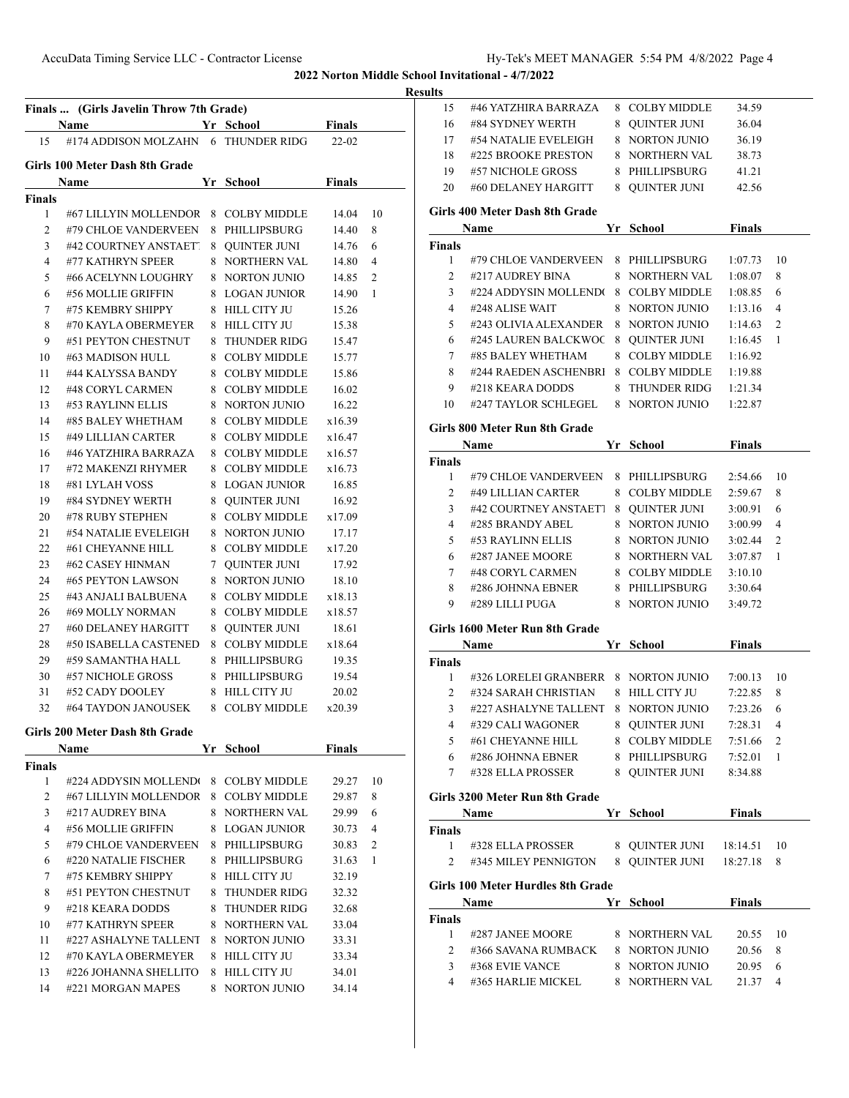AccuData Timing Service LLC - Contractor License Hy-Tek's MEET MANAGER 5:54 PM 4/8/2022 Page 4

**2022 Norton Middle School Invitational - 4/7/2022**

### **<u>esults</u>**

|                    | Finals  (Girls Javelin Throw 7th Grade)<br>Name |    | Yr School      | <b>Finals</b> |                |
|--------------------|-------------------------------------------------|----|----------------|---------------|----------------|
| 15                 | #174 ADDISON MOLZAHN 6 THUNDER RIDG             |    |                | $22 - 02$     |                |
|                    | Girls 100 Meter Dash 8th Grade                  |    |                |               |                |
|                    | <b>Name</b>                                     |    | Yr School      | <b>Finals</b> |                |
| <b>Finals</b>      |                                                 |    |                |               |                |
| 1                  | #67 LILLYIN MOLLENDOR 8 COLBY MIDDLE            |    |                | 14.04         | 10             |
| 2                  | #79 CHLOE VANDERVEEN                            |    | 8 PHILLIPSBURG | 14.40         | 8              |
| 3                  | #42 COURTNEY ANSTAETT                           |    | 8 QUINTER JUNI | 14.76         | 6              |
| $\overline{4}$     | #77 KATHRYN SPEER                               |    | 8 NORTHERN VAL | 14.80         | $\overline{4}$ |
| 5                  | #66 ACELYNN LOUGHRY                             |    | 8 NORTON JUNIO | 14.85         | 2              |
| 6                  | #56 MOLLIE GRIFFIN                              |    | 8 LOGAN JUNIOR | 14.90         | 1              |
| 7                  | #75 KEMBRY SHIPPY                               |    | 8 HILL CITY JU | 15.26         |                |
| 8                  | #70 KAYLA OBERMEYER                             |    | 8 HILL CITY JU | 15.38         |                |
| 9                  | #51 PEYTON CHESTNUT                             |    | 8 THUNDER RIDG | 15.47         |                |
| 10                 | #63 MADISON HULL                                |    | 8 COLBY MIDDLE | 15.77         |                |
| 11                 | #44 KALYSSA BANDY                               |    | 8 COLBY MIDDLE | 15.86         |                |
| 12                 | #48 CORYL CARMEN                                |    | 8 COLBY MIDDLE | 16.02         |                |
| 13                 | #53 RAYLINN ELLIS                               |    | 8 NORTON JUNIO | 16.22         |                |
| 14                 | #85 BALEY WHETHAM                               |    | 8 COLBY MIDDLE | x16.39        |                |
| 15                 | #49 LILLIAN CARTER                              |    | 8 COLBY MIDDLE | x16.47        |                |
| 16                 | #46 YATZHIRA BARRAZA                            |    | 8 COLBY MIDDLE | x16.57        |                |
| 17                 | #72 MAKENZI RHYMER                              |    | 8 COLBY MIDDLE | x16.73        |                |
| 18                 | #81 LYLAH VOSS                                  |    | 8 LOGAN JUNIOR | 16.85         |                |
| 19                 | #84 SYDNEY WERTH                                |    | 8 QUINTER JUNI | 16.92         |                |
| 20                 | #78 RUBY STEPHEN                                |    | 8 COLBY MIDDLE | x17.09        |                |
| 21                 | #54 NATALIE EVELEIGH                            |    | 8 NORTON JUNIO | 17.17         |                |
| 22                 | #61 CHEYANNE HILL                               |    | 8 COLBY MIDDLE | x17.20        |                |
| 23                 | #62 CASEY HINMAN                                |    | 7 QUINTER JUNI | 17.92         |                |
| 24                 | #65 PEYTON LAWSON                               |    | 8 NORTON JUNIO | 18.10         |                |
| 25                 | #43 ANJALI BALBUENA                             |    | 8 COLBY MIDDLE | x18.13        |                |
| 26                 | #69 MOLLY NORMAN                                |    | 8 COLBY MIDDLE | x18.57        |                |
| 27                 | #60 DELANEY HARGITT                             |    | 8 QUINTER JUNI | 18.61         |                |
| 28                 | #50 ISABELLA CASTENED                           |    | 8 COLBY MIDDLE | x18.64        |                |
| 29                 | #59 SAMANTHA HALL                               |    | 8 PHILLIPSBURG | 19.35         |                |
| 30                 | #57 NICHOLE GROSS                               |    | 8 PHILLIPSBURG | 19.54         |                |
| 31                 | #52 CADY DOOLEY                                 |    | 8 HILL CITY JU | 20.02         |                |
| 32                 | #64 TAYDON JANOUSEK                             |    | 8 COLBY MIDDLE | x20.39        |                |
|                    | Girls 200 Meter Dash 8th Grade                  |    |                |               |                |
|                    | <b>Name</b>                                     | Yr | <b>School</b>  | <b>Finals</b> |                |
| <b>Finals</b><br>1 | #224 ADDYSIN MOLLEND(                           |    | 8 COLBY MIDDLE | 29.27         | 10             |
| 2                  | #67 LILLYIN MOLLENDOR                           |    | 8 COLBY MIDDLE | 29.87         | 8              |
| 3                  | #217 AUDREY BINA                                |    | 8 NORTHERN VAL | 29.99         | 6              |
| 4                  | #56 MOLLIE GRIFFIN                              |    | 8 LOGAN JUNIOR | 30.73         | 4              |
| 5                  | #79 CHLOE VANDERVEEN                            |    | 8 PHILLIPSBURG | 30.83         | 2              |
| 6                  | #220 NATALIE FISCHER                            |    | 8 PHILLIPSBURG | 31.63         | 1              |
| 7                  | #75 KEMBRY SHIPPY                               |    | 8 HILL CITY JU | 32.19         |                |
| 8                  | #51 PEYTON CHESTNUT                             |    | 8 THUNDER RIDG | 32.32         |                |
| 9                  | #218 KEARA DODDS                                |    | 8 THUNDER RIDG |               |                |
|                    |                                                 |    |                | 32.68         |                |
| 10                 | #77 KATHRYN SPEER                               |    | 8 NORTHERN VAL | 33.04         |                |
| 11                 | #227 ASHALYNE TALLENT                           |    | 8 NORTON JUNIO | 33.31         |                |
| 12                 | #70 KAYLA OBERMEYER                             |    | 8 HILL CITY JU | 33.34         |                |
| 13                 | #226 JOHANNA SHELLITO                           |    | 8 HILL CITY JU | 34.01         |                |
| 14                 | #221 MORGAN MAPES                               |    | 8 NORTON JUNIO | 34.14         |                |

| 15                | #46 YATZHIRA BARRAZA                                 |    | 8 COLBY MIDDLE                   | 34.59          |        |
|-------------------|------------------------------------------------------|----|----------------------------------|----------------|--------|
| 16                | #84 SYDNEY WERTH                                     |    | 8 OUINTER JUNI                   | 36.04          |        |
| 17                | #54 NATALIE EVELEIGH                                 |    | 8 NORTON JUNIO                   | 36.19          |        |
| 18                | #225 BROOKE PRESTON                                  |    | 8 NORTHERN VAL                   | 38.73          |        |
| 19                | #57 NICHOLE GROSS                                    |    | 8 PHILLIPSBURG                   | 41.21          |        |
| 20                | #60 DELANEY HARGITT                                  |    | 8 OUINTER JUNI                   | 42.56          |        |
|                   | Girls 400 Meter Dash 8th Grade                       |    |                                  |                |        |
|                   | Name                                                 | Yr | School                           | <b>Finals</b>  |        |
| <b>Finals</b>     |                                                      |    |                                  |                |        |
| 1                 | #79 CHLOE VANDERVEEN                                 |    | 8 PHILLIPSBURG                   | 1:07.73        | 10     |
| 2                 | #217 AUDREY BINA                                     |    | 8 NORTHERN VAL                   | 1:08.07        | 8      |
| 3                 | #224 ADDYSIN MOLLENDO                                |    | 8 COLBY MIDDLE                   | 1:08.85        | 6      |
| 4                 | #248 ALISE WAIT                                      |    | 8 NORTON JUNIO                   | 1:13.16        | 4      |
| 5                 | #243 OLIVIA ALEXANDER                                |    | 8 NORTON JUNIO                   |                | 2      |
|                   |                                                      |    |                                  | 1:14.63        |        |
| 6                 | #245 LAUREN BALCKWOC                                 | 8  | QUINTER JUNI                     | 1:16.45        | 1      |
| 7                 | #85 BALEY WHETHAM                                    | 8  | <b>COLBY MIDDLE</b>              | 1:16.92        |        |
| 8                 | #244 RAEDEN ASCHENBRI                                |    | 8 COLBY MIDDLE                   | 1:19.88        |        |
| 9                 | #218 KEARA DODDS                                     |    | 8 THUNDER RIDG                   | 1:21.34        |        |
| 10                | #247 TAYLOR SCHLEGEL                                 |    | 8 NORTON JUNIO                   | 1:22.87        |        |
|                   | Girls 800 Meter Run 8th Grade                        |    |                                  |                |        |
|                   | Name                                                 |    | Yr School                        | <b>Finals</b>  |        |
| <b>Finals</b>     |                                                      |    |                                  |                |        |
| 1                 | #79 CHLOE VANDERVEEN                                 |    | 8 PHILLIPSBURG                   | 2:54.66        | 10     |
| 2                 | #49 LILLIAN CARTER                                   |    | 8 COLBY MIDDLE                   | 2:59.67        | 8      |
| 3                 | #42 COURTNEY ANSTAET!                                |    | 8 QUINTER JUNI                   | 3:00.91        | 6      |
| 4                 | #285 BRANDY ABEL                                     |    | 8 NORTON JUNIO                   | 3:00.99        | 4      |
| 5                 | #53 RAYLINN ELLIS                                    |    | 8 NORTON JUNIO                   | 3:02.44        | 2      |
| 6                 | #287 JANEE MOORE                                     |    | 8 NORTHERN VAL                   | 3:07.87        | 1      |
| 7                 | #48 CORYL CARMEN                                     |    | 8 COLBY MIDDLE                   | 3:10.10        |        |
| 8                 | #286 JOHNNA EBNER                                    |    | 8 PHILLIPSBURG                   | 3:30.64        |        |
| 9                 | #289 LILLI PUGA                                      |    | 8 NORTON JUNIO                   | 3:49.72        |        |
|                   | Girls 1600 Meter Run 8th Grade                       |    |                                  |                |        |
|                   | Name                                                 |    | Yr School                        | <b>Finals</b>  |        |
| Finals            |                                                      |    |                                  |                |        |
| 1                 | #326 LORELEI GRANBERR 8 NORTON JUNIO                 |    |                                  | 7:00.13        | 10     |
| 2                 | #324 SARAH CHRISTIAN                                 |    | 8 HILL CITY JU                   | 7:22.85        | 8      |
| 3                 | #227 ASHALYNE TALLENT                                |    | 8 NORTON JUNIO                   | 7:23.26        | 6      |
| $\mathbf{\Delta}$ | #329 CALI WAGONER 8 QUINTER JUNI                     |    |                                  | 7:28.31 4      |        |
|                   | 5 #61 CHEYANNE HILL                                  |    | 8 COLBY MIDDLE 7:51.66           |                | 2      |
|                   | 6 #286 JOHNNA EBNER                                  |    | 8 PHILLIPSBURG 7:52.01           |                | - 1    |
|                   | 7 #328 ELLA PROSSER 8 QUINTER JUNI                   |    |                                  | 8:34.88        |        |
|                   | Girls 3200 Meter Run 8th Grade                       |    |                                  |                |        |
|                   | Name<br>the control of the control of the control of |    | Yr School Finals                 |                |        |
| <b>Finals</b>     |                                                      |    |                                  |                |        |
| 1                 | #328 ELLA PROSSER                                    |    | 8 QUINTER JUNI 18:14.51          |                | 10     |
| 2                 | #345 MILEY PENNIGTON 8 QUINTER JUNI 18:27.18         |    |                                  |                | 8      |
|                   |                                                      |    |                                  |                |        |
|                   | Girls 100 Meter Hurdles 8th Grade                    |    |                                  |                |        |
|                   |                                                      |    |                                  |                |        |
|                   | Name                                                 |    | Yr School                        | <b>Finals</b>  |        |
| Finals            |                                                      |    |                                  |                |        |
| $\mathbf{1}$      | #287 JANEE MOORE                                     |    | 8 NORTHERN VAL                   | 20.55 10       |        |
|                   | 2 #366 SAVANA RUMBACK 8 NORTON JUNIO                 |    |                                  | 20.56          | 8      |
|                   | 3 #368 EVIE VANCE<br>4 #365 HARLIE MICKEL            |    | 8 NORTON JUNIO<br>8 NORTHERN VAL | 20.95<br>21.37 | 6<br>4 |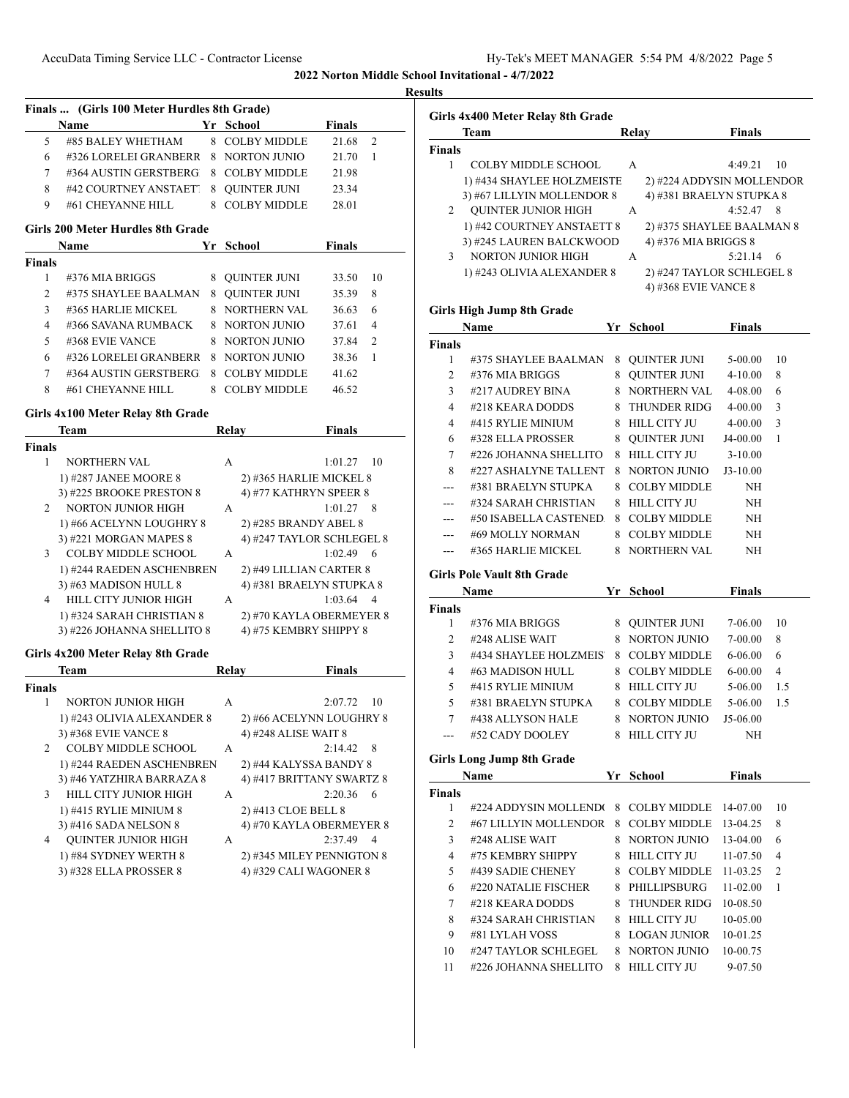|                     | Finals  (Girls 100 Meter Hurdles 8th Grade)<br>Name | Yr School                 | <b>Finals</b> |                 |
|---------------------|-----------------------------------------------------|---------------------------|---------------|-----------------|
| 5                   | #85 BALEY WHETHAM                                   | 8 COLBY MIDDLE            | 21.68         | $\overline{c}$  |
| 6                   | #326 LORELEI GRANBERR 8 NORTON JUNIO                |                           | 21.70         | 1               |
| $\tau$              | #364 AUSTIN GERSTBERG                               | 8 COLBY MIDDLE            | 21.98         |                 |
| 8                   | #42 COURTNEY ANSTAETT                               | 8 QUINTER JUNI            | 23.34         |                 |
| 9                   | #61 CHEYANNE HILL                                   | 8 COLBY MIDDLE            | 28.01         |                 |
|                     |                                                     |                           |               |                 |
|                     | Girls 200 Meter Hurdles 8th Grade                   |                           |               |                 |
|                     | Name                                                | Yr School                 | <b>Finals</b> |                 |
| <b>Finals</b>       |                                                     |                           |               | 10              |
| 1<br>$\overline{c}$ | #376 MIA BRIGGS                                     | 8 QUINTER JUNI            | 33.50         |                 |
|                     | #375 SHAYLEE BAALMAN                                | 8 QUINTER JUNI            | 35.39         | 8               |
| 3                   | #365 HARLIE MICKEL                                  | 8 NORTHERN VAL            | 36.63         | 6               |
| $\overline{4}$      | #366 SAVANA RUMBACK                                 | 8 NORTON JUNIO            | 37.61         | $\overline{4}$  |
| 5                   | #368 EVIE VANCE                                     | 8 NORTON JUNIO            | 37.84         | 2               |
| 6                   | #326 LORELEI GRANBERR                               | 8 NORTON JUNIO            | 38.36         | -1              |
| $\tau$              | #364 AUSTIN GERSTBERG                               | 8 COLBY MIDDLE            | 41.62         |                 |
| 8                   | #61 CHEYANNE HILL                                   | 8 COLBY MIDDLE            | 46.52         |                 |
|                     | Girls 4x100 Meter Relay 8th Grade                   |                           |               |                 |
|                     | Team                                                | <b>Relay</b>              | <b>Finals</b> |                 |
| <b>Finals</b>       |                                                     |                           |               |                 |
| $\mathbf{1}$        | <b>NORTHERN VAL</b>                                 | A                         | 1:01.27       | $\overline{10}$ |
|                     | 1) #287 JANEE MOORE 8                               | 2) #365 HARLIE MICKEL 8   |               |                 |
|                     | 3) #225 BROOKE PRESTON 8                            | 4) #77 KATHRYN SPEER 8    |               |                 |
| 2                   | NORTON JUNIOR HIGH                                  | A                         | $1:01.27$ 8   |                 |
|                     | 1) #66 ACELYNN LOUGHRY 8                            | 2) #285 BRANDY ABEL 8     |               |                 |
|                     | 3) #221 MORGAN MAPES 8                              | 4) #247 TAYLOR SCHLEGEL 8 |               |                 |
| 3                   | <b>COLBY MIDDLE SCHOOL</b>                          | A                         | 1:02.49       | - 6             |
|                     | 1) #244 RAEDEN ASCHENBREN                           | 2) #49 LILLIAN CARTER 8   |               |                 |
|                     | 3) #63 MADISON HULL 8                               | 4) #381 BRAELYN STUPKA 8  |               |                 |
|                     | 4 HILL CITY JUNIOR HIGH                             | A                         | 1:03.64       | $\overline{4}$  |
|                     | 1) #324 SARAH CHRISTIAN 8                           | 2) #70 KAYLA OBERMEYER 8  |               |                 |
|                     | 3) #226 JOHANNA SHELLITO 8                          | 4) #75 KEMBRY SHIPPY 8    |               |                 |
|                     | Girls 4x200 Meter Relay 8th Grade                   |                           |               |                 |
|                     | Team                                                | Relay                     | <b>Finals</b> |                 |
| <b>Finals</b>       |                                                     |                           |               |                 |
| 1                   | NORTON JUNIOR HIGH                                  | A                         | 2:07.72       | 10              |
|                     | 1) #243 OLIVIA ALEXANDER 8                          | 2) #66 ACELYNN LOUGHRY 8  |               |                 |
|                     | 3) #368 EVIE VANCE 8                                | 4) #248 ALISE WAIT 8      |               |                 |
| 2                   | <b>COLBY MIDDLE SCHOOL</b>                          | A                         | 2:14.42       | 8               |
|                     | 1) #244 RAEDEN ASCHENBREN                           | 2) #44 KALYSSA BANDY 8    |               |                 |
|                     | 3) #46 YATZHIRA BARRAZA 8                           | 4) #417 BRITTANY SWARTZ 8 |               |                 |
| 3                   | HILL CITY JUNIOR HIGH                               | А                         | 2:20.36       | 6               |
|                     | 1) #415 RYLIE MINIUM 8                              | 2) #413 CLOE BELL 8       |               |                 |
|                     | 3) #416 SADA NELSON 8                               | 4) #70 KAYLA OBERMEYER 8  |               |                 |
| 4                   | <b>QUINTER JUNIOR HIGH</b>                          | А                         | 2:37.49       | 4               |
|                     | 1) #84 SYDNEY WERTH 8                               | 2) #345 MILEY PENNIGTON 8 |               |                 |
|                     | 3) #328 ELLA PROSSER 8                              | 4) #329 CALI WAGONER 8    |               |                 |
|                     |                                                     |                           |               |                 |
|                     |                                                     |                           |               |                 |
|                     |                                                     |                           |               |                 |
|                     |                                                     |                           |               |                 |
|                     |                                                     |                           |               |                 |
|                     |                                                     |                           |               |                 |
|                     |                                                     |                           |               |                 |
|                     |                                                     |                           |               |                 |

|                | Girls 4x400 Meter Relay 8th Grade |    |                           |               |     |
|----------------|-----------------------------------|----|---------------------------|---------------|-----|
|                | Team                              |    | Relay                     | <b>Finals</b> |     |
| Finals         |                                   |    |                           |               |     |
| 1              | <b>COLBY MIDDLE SCHOOL</b>        |    | А                         | 4:49.21       | 10  |
|                | 1) #434 SHAYLEE HOLZMEISTE        |    | 2) #224 ADDYSIN MOLLENDOR |               |     |
|                | 3) #67 LILLYIN MOLLENDOR 8        |    | 4) #381 BRAELYN STUPKA 8  |               |     |
| 2              | <b>QUINTER JUNIOR HIGH</b>        |    | А                         | 4:52.47       | 8   |
|                | 1) #42 COURTNEY ANSTAETT 8        |    | 2) #375 SHAYLEE BAALMAN 8 |               |     |
|                | 3) #245 LAUREN BALCKWOOD          |    | 4) #376 MIA BRIGGS 8      |               |     |
| 3              | <b>NORTON JUNIOR HIGH</b>         |    | А                         | 5:21.14       | 6   |
|                | 1) #243 OLIVIA ALEXANDER 8        |    | 2) #247 TAYLOR SCHLEGEL 8 |               |     |
|                |                                   |    | 4) #368 EVIE VANCE 8      |               |     |
|                | <b>Girls High Jump 8th Grade</b>  |    |                           |               |     |
|                | Name                              |    | Yr School                 | <b>Finals</b> |     |
| Finals         |                                   |    |                           |               |     |
| 1              | #375 SHAYLEE BAALMAN              | 8  | QUINTER JUNI              | 5-00.00       | 10  |
| 2              | #376 MIA BRIGGS                   | 8  | QUINTER JUNI              | $4 - 10.00$   | 8   |
| 3              | #217 AUDREY BINA                  | 8  | NORTHERN VAL              | 4-08.00       | 6   |
| 4              | #218 KEARA DODDS                  | 8  | <b>THUNDER RIDG</b>       | 4-00.00       | 3   |
| 4              | #415 RYLIE MINIUM                 |    | 8 HILL CITY JU            | 4-00.00       | 3   |
| 6              | #328 ELLA PROSSER                 | 8  | QUINTER JUNI              | J4-00.00      | 1   |
| 7              | #226 JOHANNA SHELLITO             | 8  | HILL CITY JU              | $3-10.00$     |     |
| 8              | #227 ASHALYNE TALLENT             | 8  | NORTON JUNIO              | $J3-10.00$    |     |
| ---            | #381 BRAELYN STUPKA               | 8  | <b>COLBY MIDDLE</b>       | NΗ            |     |
| ---            | #324 SARAH CHRISTIAN              | 8  | HILL CITY JU              | NH            |     |
|                | #50 ISABELLA CASTENED             |    | 8 COLBY MIDDLE            | NH            |     |
| ---            |                                   |    |                           |               |     |
| ---            | #69 MOLLY NORMAN                  |    | 8 COLBY MIDDLE            | NH            |     |
|                | #365 HARLIE MICKEL                |    | 8 NORTHERN VAL            | NH            |     |
|                | Girls Pole Vault 8th Grade        |    |                           |               |     |
|                | Name                              | Yr | <b>School</b>             | <b>Finals</b> |     |
| Finals<br>1    | #376 MIA BRIGGS                   |    |                           |               | 10  |
|                |                                   |    | 8 QUINTER JUNI            | 7-06.00       |     |
| 2              | #248 ALISE WAIT                   |    | 8 NORTON JUNIO            | 7-00.00       | 8   |
| 3              | #434 SHAYLEE HOLZMEIS             |    | 8 COLBY MIDDLE            | 6-06.00       | 6   |
| $\overline{4}$ | #63 MADISON HULL                  |    | 8 COLBY MIDDLE            | 6-00.00       | 4   |
| 5              | #415 RYLIE MINIUM                 |    | 8 HILL CITY JU            | 5-06.00       | 1.5 |
| 5              | #381 BRAELYN STUPKA               |    | 8 COLBY MIDDLE            | 5-06.00       | 1.5 |
| 7              | #438 ALLYSON HALE                 |    | 8 NORTON JUNIO            | J5-06.00      |     |
|                | #52 CADY DOOLEY                   |    | 8 HILL CITY JU            | NH            |     |
|                | <b>Girls Long Jump 8th Grade</b>  |    |                           |               |     |
|                | Name                              |    | Yr School                 | <b>Finals</b> |     |
| Finals         |                                   |    |                           |               |     |
| 1              | #224 ADDYSIN MOLLENDO             |    | 8 COLBY MIDDLE            | 14-07.00      | 10  |
| 2              | #67 LILLYIN MOLLENDOR             |    | 8 COLBY MIDDLE            | 13-04.25      | 8   |
| 3              | #248 ALISE WAIT                   |    | 8 NORTON JUNIO            | 13-04.00      | 6   |
| 4              | #75 KEMBRY SHIPPY                 | 8  | HILL CITY JU              | 11-07.50      | 4   |
| 5              | #439 SADIE CHENEY                 |    | 8 COLBY MIDDLE            | 11-03.25      | 2   |
| 6              | #220 NATALIE FISCHER              |    | 8 PHILLIPSBURG            | 11-02.00      | 1   |
| 7              | #218 KEARA DODDS                  | 8  | <b>THUNDER RIDG</b>       | 10-08.50      |     |
| 8              | #324 SARAH CHRISTIAN              |    | 8 HILL CITY JU            | 10-05.00      |     |
| 9              | #81 LYLAH VOSS                    |    | 8 LOGAN JUNIOR            | 10-01.25      |     |
| 10             | #247 TAYLOR SCHLEGEL              |    | 8 NORTON JUNIO            | 10-00.75      |     |
| 11             | #226 JOHANNA SHELLITO             |    | 8 HILL CITY JU            | 9-07.50       |     |
|                |                                   |    |                           |               |     |
|                |                                   |    |                           |               |     |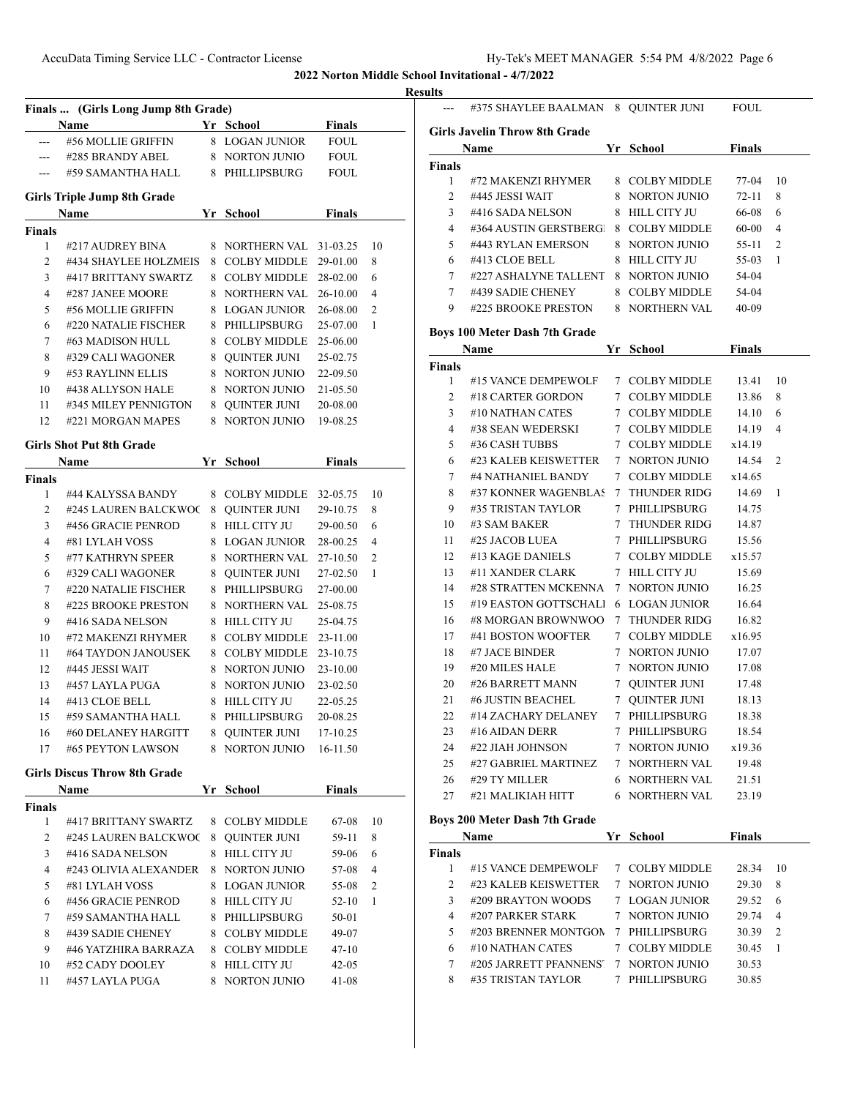|                    | Finals  (Girls Long Jump 8th Grade)<br><b>Name</b> | Yr School                        | <b>Finals</b>  |    |
|--------------------|----------------------------------------------------|----------------------------------|----------------|----|
| $---$              | #56 MOLLIE GRIFFIN                                 | 8 LOGAN JUNIOR                   | <b>FOUL</b>    |    |
| ---                | #285 BRANDY ABEL                                   | 8 NORTON JUNIO                   | <b>FOUL</b>    |    |
| $\cdots$           | #59 SAMANTHA HALL                                  | 8 PHILLIPSBURG                   | <b>FOUL</b>    |    |
|                    | <b>Girls Triple Jump 8th Grade</b>                 |                                  |                |    |
|                    | <b>Name</b>                                        | <b>School</b>                    | <b>Finals</b>  |    |
| <b>Finals</b>      |                                                    |                                  |                |    |
| 1                  | #217 AUDREY BINA                                   | 8 NORTHERN VAL 31-03.25          |                | 10 |
| $\overline{2}$     | #434 SHAYLEE HOLZMEIS                              | 8 COLBY MIDDLE                   | 29-01.00       | 8  |
| 3                  | #417 BRITTANY SWARTZ                               | 8 COLBY MIDDLE                   | 28-02.00       | 6  |
| $\overline{4}$     | #287 JANEE MOORE                                   | 8 NORTHERN VAL 26-10.00          |                | 4  |
| 5                  | #56 MOLLIE GRIFFIN                                 | 8 LOGAN JUNIOR                   | 26-08.00       | 2  |
| 6                  | #220 NATALIE FISCHER                               | 8 PHILLIPSBURG                   | 25-07.00       | 1  |
| 7                  | #63 MADISON HULL                                   | 8 COLBY MIDDLE 25-06.00          |                |    |
| 8                  | #329 CALI WAGONER                                  | 8 OUINTER JUNI                   | 25-02.75       |    |
| 9                  | #53 RAYLINN ELLIS                                  | 8 NORTON JUNIO                   | 22-09.50       |    |
| 10                 | #438 ALLYSON HALE                                  | 8 NORTON JUNIO                   | 21-05.50       |    |
| 11                 | #345 MILEY PENNIGTON                               | 8 QUINTER JUNI                   | 20-08.00       |    |
| 12                 | #221 MORGAN MAPES                                  | 8 NORTON JUNIO                   | 19-08.25       |    |
|                    | <b>Girls Shot Put 8th Grade</b>                    |                                  |                |    |
| <b>Finals</b>      | Name                                               | Yr School                        | <b>Finals</b>  |    |
| 1                  | #44 KALYSSA BANDY                                  | 8 COLBY MIDDLE 32-05.75          |                | 10 |
| $\overline{2}$     | #245 LAUREN BALCKWOC                               | 8 QUINTER JUNI                   | 29-10.75       | 8  |
| 3                  | #456 GRACIE PENROD                                 | 8 HILL CITY JU                   | 29-00.50       | 6  |
| 4                  | #81 LYLAH VOSS                                     | 8 LOGAN JUNIOR                   | 28-00.25       | 4  |
| 5                  | #77 KATHRYN SPEER                                  | 8 NORTHERN VAL                   | 27-10.50       | 2  |
| 6                  | #329 CALI WAGONER                                  | 8 QUINTER JUNI                   | 27-02.50       | 1  |
| 7                  | #220 NATALIE FISCHER                               | 8 PHILLIPSBURG                   | 27-00.00       |    |
| 8                  | #225 BROOKE PRESTON                                | 8 NORTHERN VAL                   | 25-08.75       |    |
| 9                  | #416 SADA NELSON                                   | 8 HILL CITY JU                   | 25-04.75       |    |
| 10                 | #72 MAKENZI RHYMER                                 | 8 COLBY MIDDLE                   | 23-11.00       |    |
| 11                 | #64 TAYDON JANOUSEK                                | 8 COLBY MIDDLE                   | 23-10.75       |    |
| 12                 | #445 JESSI WAIT                                    | 8 NORTON JUNIO                   | 23-10.00       |    |
| 13                 | #457 LAYLA PUGA                                    | 8 NORTON JUNIO                   | 23-02.50       |    |
| 14                 | #413 CLOE BELL                                     | 8 HILL CITY JU                   | 22-05.25       |    |
| 15                 | #59 SAMANTHA HALL                                  | 8 PHILLIPSBURG                   | 20-08.25       |    |
| 16                 | #60 DELANEY HARGITT                                | 8 QUINTER JUNI                   | 17-10.25       |    |
| 17                 | #65 PEYTON LAWSON                                  | 8 NORTON JUNIO                   | 16-11.50       |    |
|                    | <b>Girls Discus Throw 8th Grade</b>                |                                  |                |    |
|                    | Name                                               | Yr School                        | <b>Finals</b>  |    |
| <b>Finals</b><br>1 | #417 BRITTANY SWARTZ                               | 8 COLBY MIDDLE                   | 67-08          | 10 |
|                    |                                                    |                                  |                |    |
| 2                  | #245 LAUREN BALCKWOC                               | 8 QUINTER JUNI<br>8 HILL CITY JU | 59-11          | 8  |
| 3                  | #416 SADA NELSON                                   |                                  | 59-06          | 6  |
| 4                  | #243 OLIVIA ALEXANDER                              | 8 NORTON JUNIO                   | 57-08          | 4  |
| 5                  | #81 LYLAH VOSS                                     | 8 LOGAN JUNIOR                   | 55-08          | 2  |
| 6                  | #456 GRACIE PENROD                                 | 8 HILL CITY JU                   | 52-10          | 1  |
|                    | #59 SAMANTHA HALL                                  | 8 PHILLIPSBURG                   | 50-01          |    |
| 7                  | #439 SADIE CHENEY                                  | 8 COLBY MIDDLE                   | 49-07          |    |
| 8                  |                                                    |                                  | 47-10          |    |
| 9                  | #46 YATZHIRA BARRAZA                               | 8 COLBY MIDDLE                   |                |    |
| 10<br>11           | #52 CADY DOOLEY<br>#457 LAYLA PUGA                 | 8 HILL CITY JU<br>8 NORTON JUNIO | 42-05<br>41-08 |    |

|              | #375 SHAYLEE BAALMAN 8 QUINTER JUNI  |                       | <b>FOUL</b>   |    |
|--------------|--------------------------------------|-----------------------|---------------|----|
|              | <b>Girls Javelin Throw 8th Grade</b> |                       |               |    |
|              | Name                                 | Yr School             | <b>Finals</b> |    |
| Finals       |                                      |                       |               |    |
| $\mathbf{1}$ | #72 MAKENZI RHYMER                   | 8 COLBY MIDDLE        | 77-04         | 10 |
| 2            | #445 JESSI WAIT                      | 8 NORTON JUNIO        | $72 - 11$     | 8  |
| 3            | #416 SADA NELSON                     | 8 HILL CITY JU        | 66-08         | 6  |
| 4            | #364 AUSTIN GERSTBERG                | 8 COLBY MIDDLE        | 60-00         | 4  |
| 5            | #443 RYLAN EMERSON                   | 8 NORTON JUNIO        | 55-11         | 2  |
| 6            | #413 CLOE BELL                       | 8 HILL CITY JU        | 55-03         | 1  |
| 7            | #227 ASHALYNE TALLENT                | 8 NORTON JUNIO        | 54-04         |    |
| $\tau$       | #439 SADIE CHENEY                    | 8 COLBY MIDDLE        | 54-04         |    |
| 9            | #225 BROOKE PRESTON                  | 8 NORTHERN VAL        | $40 - 09$     |    |
|              | <b>Boys 100 Meter Dash 7th Grade</b> |                       |               |    |
|              | Name                                 | Yr School             | Finals        |    |
| Finals       |                                      |                       |               |    |
| $\mathbf{1}$ | #15 VANCE DEMPEWOLF                  | 7 COLBY MIDDLE        | 13.41         | 10 |
| 2            | #18 CARTER GORDON                    | 7 COLBY MIDDLE        | 13.86         | 8  |
| 3            | #10 NATHAN CATES                     | 7 COLBY MIDDLE        | 14.10         | 6  |
| 4            | #38 SEAN WEDERSKI                    | 7 COLBY MIDDLE        | 14.19         | 4  |
| 5            | #36 CASH TUBBS                       | 7 COLBY MIDDLE        | x14.19        |    |
| 6            | #23 KALEB KEISWETTER                 | 7 NORTON JUNIO        | 14.54         | 2  |
| 7            | #4 NATHANIEL BANDY                   | 7 COLBY MIDDLE        | x14.65        |    |
| 8            | #37 KONNER WAGENBLAS 7 THUNDER RIDG  |                       | 14.69         | 1  |
| 9            | #35 TRISTAN TAYLOR                   | 7 PHILLIPSBURG        | 14.75         |    |
| 10           | #3 SAM BAKER                         | 7 THUNDER RIDG        | 14.87         |    |
| 11           | #25 JACOB LUEA                       | 7 PHILLIPSBURG        | 15.56         |    |
| 12           | #13 KAGE DANIELS                     | 7 COLBY MIDDLE        | x15.57        |    |
| 13           | #11 XANDER CLARK                     | 7 HILL CITY JU        | 15.69         |    |
| 14           | #28 STRATTEN MCKENNA                 | 7 NORTON JUNIO        | 16.25         |    |
| 15           | #19 EASTON GOTTSCHALI                | <b>6 LOGAN JUNIOR</b> | 16.64         |    |
| 16           | #8 MORGAN BROWNWOO                   | 7 THUNDER RIDG        | 16.82         |    |
| 17           | #41 BOSTON WOOFTER                   | 7 COLBY MIDDLE        | x16.95        |    |
| 18           | #7 JACE BINDER                       | 7 NORTON JUNIO        | 17.07         |    |
| 19           | #20 MILES HALE                       | 7 NORTON JUNIO        | 17.08         |    |
| 20           | #26 BARRETT MANN                     | 7 QUINTER JUNI        | 17.48         |    |
| 21           | #6 JUSTIN BEACHEL                    | 7 QUINTER JUNI        | 18.13         |    |
| 22           | #14 ZACHARY DELANEY                  | 7 PHILLIPSBURG        | 18.38         |    |
| 23           | #16 AIDAN DERR                       | 7 PHILLIPSBURG        | 18.54         |    |
| 24           | #22 JIAH JOHNSON                     | 7 NORTON JUNIO        | x19.36        |    |
| 25           | #27 GABRIEL MARTINEZ                 | 7 NORTHERN VAL        | 19.48         |    |
| 26           | #29 TY MILLER                        | 6 NORTHERN VAL        | 21.51         |    |
| 27           | #21 MALIKIAH HITT                    | <b>6 NORTHERN VAL</b> | 23.19         |    |
|              | Boys 200 Meter Dash 7th Grade        |                       |               |    |
|              | Name                                 | Yr School             | <b>Finals</b> |    |
| Finals       |                                      |                       |               |    |
| 1            | #15 VANCE DEMPEWOLF                  | 7 COLBY MIDDLE        | 28.34         | 10 |
| 2            | #23 KALEB KEISWETTER                 | 7 NORTON JUNIO        | 29.30         | 8  |
| 3            | #209 BRAYTON WOODS                   | 7 LOGAN JUNIOR        | 29.52         | 6  |
| 4            | #207 PARKER STARK                    | 7 NORTON JUNIO        | 29.74         | 4  |
| 5            | #203 BRENNER MONTGON                 | 7 PHILLIPSBURG        | 30.39         | 2  |
| 6            | #10 NATHAN CATES                     | 7 COLBY MIDDLE        | 30.45         | 1  |
| 7            | #205 JARRETT PFANNENS'               | 7 NORTON JUNIO        | 30.53         |    |
| 8            | #35 TRISTAN TAYLOR                   | 7 PHILLIPSBURG        | 30.85         |    |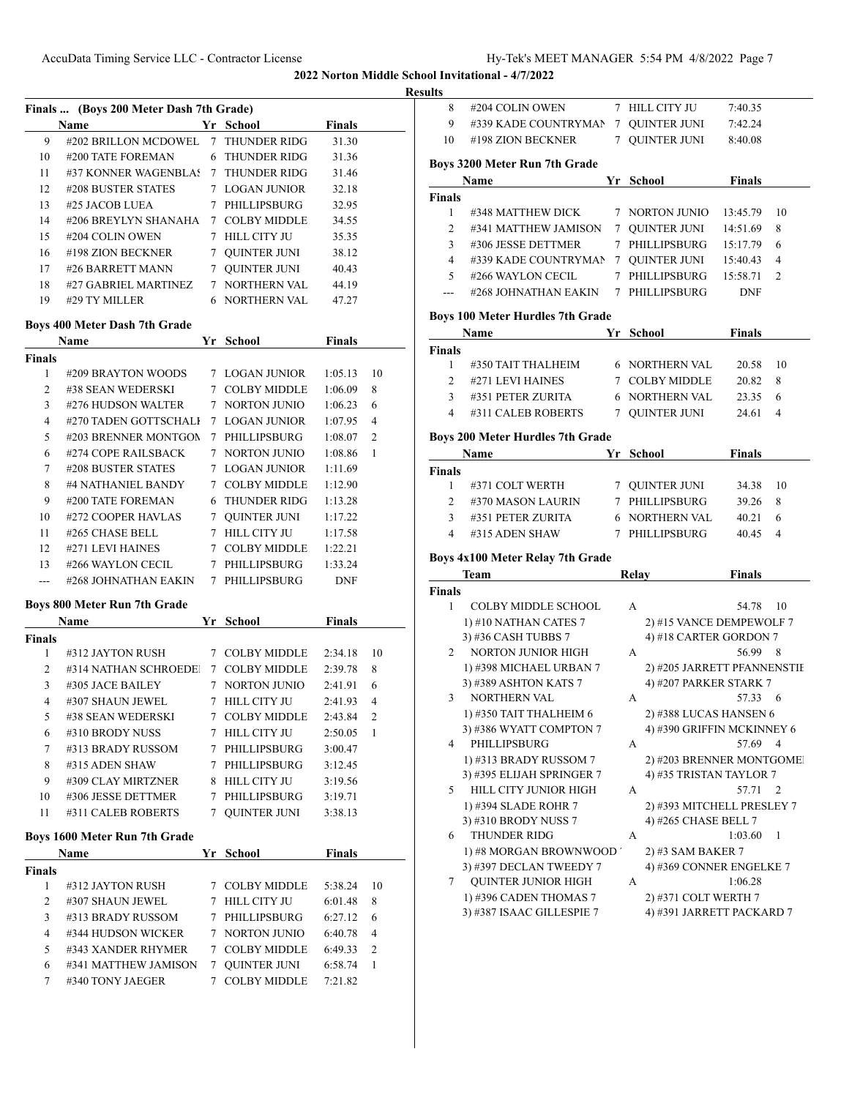**Results**

|                         | Finals  (Boys 200 Meter Dash 7th Grade)  |             |                                  |                    |                |
|-------------------------|------------------------------------------|-------------|----------------------------------|--------------------|----------------|
|                         | Name                                     |             | Yr School                        | <b>Finals</b>      |                |
| 9                       | #202 BRILLON MCDOWEL                     | $\tau$      | <b>THUNDER RIDG</b>              | 31.30              |                |
| 10                      | #200 TATE FOREMAN                        |             | 6 THUNDER RIDG                   | 31.36              |                |
| 11                      | #37 KONNER WAGENBLAS                     |             | 7 THUNDER RIDG                   | 31.46              |                |
| 12                      | #208 BUSTER STATES                       |             | 7 LOGAN JUNIOR                   | 32.18              |                |
| 13                      | #25 JACOB LUEA                           |             | 7 PHILLIPSBURG                   | 32.95              |                |
| 14                      | #206 BREYLYN SHANAHA                     |             | 7 COLBY MIDDLE                   | 34.55              |                |
| 15                      | #204 COLIN OWEN                          |             | 7 HILL CITY JU                   | 35.35              |                |
| 16                      | #198 ZION BECKNER                        |             | 7 QUINTER JUNI                   | 38.12              |                |
| 17                      | #26 BARRETT MANN                         |             | 7 QUINTER JUNI                   | 40.43              |                |
| 18                      | #27 GABRIEL MARTINEZ                     |             | 7 NORTHERN VAL                   | 44.19              |                |
| 19                      | #29 TY MILLER                            |             | 6 NORTHERN VAL                   | 47.27              |                |
|                         | Boys 400 Meter Dash 7th Grade            |             |                                  |                    |                |
|                         | Name                                     |             | Yr School                        | <b>Finals</b>      |                |
| <b>Finals</b>           |                                          |             |                                  |                    |                |
| 1                       | #209 BRAYTON WOODS                       |             | 7 LOGAN JUNIOR                   | 1:05.13            | 10             |
| $\overline{c}$          | #38 SEAN WEDERSKI                        |             | 7 COLBY MIDDLE                   | 1:06.09            | 8              |
| 3                       | #276 HUDSON WALTER                       | 7           | <b>NORTON JUNIO</b>              | 1:06.23            | 6              |
| 4                       | #270 TADEN GOTTSCHALI                    |             | 7 LOGAN JUNIOR                   | 1:07.95            | 4              |
| 5                       | #203 BRENNER MONTGON                     |             | 7 PHILLIPSBURG                   | 1:08.07            | $\overline{c}$ |
| 6                       | #274 COPE RAILSBACK                      |             | 7 NORTON JUNIO                   | 1:08.86            | 1              |
| 7                       | #208 BUSTER STATES                       |             | 7 LOGAN JUNIOR                   | 1:11.69            |                |
| 8                       | #4 NATHANIEL BANDY                       |             | 7 COLBY MIDDLE                   | 1:12.90            |                |
| 9                       | #200 TATE FOREMAN                        |             | 6 THUNDER RIDG                   | 1:13.28            |                |
| 10                      | #272 COOPER HAVLAS                       |             | 7 QUINTER JUNI                   | 1:17.22            |                |
| 11                      | #265 CHASE BELL                          |             | 7 HILL CITY JU                   | 1:17.58            |                |
| 12                      | #271 LEVI HAINES                         |             | 7 COLBY MIDDLE                   | 1:22.21            |                |
| 13                      | #266 WAYLON CECIL                        |             | 7 PHILLIPSBURG                   | 1:33.24            |                |
| ---                     | #268 JOHNATHAN EAKIN                     |             | 7 PHILLIPSBURG                   | <b>DNF</b>         |                |
|                         |                                          |             |                                  |                    |                |
|                         | Boys 800 Meter Run 7th Grade<br>Name     |             | Yr School                        | <b>Finals</b>      |                |
| Finals                  |                                          |             |                                  |                    |                |
| 1                       | #312 JAYTON RUSH                         |             | 7 COLBY MIDDLE                   | 2:34.18            | 10             |
| 2                       | #314 NATHAN SCHROEDE!                    |             | 7 COLBY MIDDLE                   | 2:39.78            | 8              |
| 3                       | #305 JACE BAILEY                         |             | 7 NORTON JUNIO                   | 2:41.91            | 6              |
| 4                       | #307 SHAUN JEWEL                         | $7^{\circ}$ | HILL CITY JU                     | 2:41.93            | 4              |
| 5                       | #38 SEAN WEDERSKI                        |             | 7 COLBY MIDDLE                   | 2:43.84            | 2              |
| 6                       | #310 BRODY NUSS                          |             | 7 HILL CITY JU                   | 2:50.05            | 1              |
| 7                       | #313 BRADY RUSSOM                        |             | 7 PHILLIPSBURG                   | 3:00.47            |                |
| 8                       | #315 ADEN SHAW                           |             | 7 PHILLIPSBURG                   | 3:12.45            |                |
|                         | #309 CLAY MIRTZNER                       |             | 8 HILL CITY JU                   | 3:19.56            |                |
|                         |                                          |             |                                  | 3:19.71            |                |
| 9                       |                                          |             |                                  |                    |                |
| 10                      | #306 JESSE DETTMER                       |             | 7 PHILLIPSBURG                   |                    |                |
| 11                      | #311 CALEB ROBERTS                       | 7           | <b>OUINTER JUNI</b>              | 3:38.13            |                |
|                         | Boys 1600 Meter Run 7th Grade            |             |                                  |                    |                |
|                         | Name                                     |             | Yr School                        | <b>Finals</b>      |                |
|                         |                                          |             |                                  |                    |                |
| 1                       | #312 JAYTON RUSH                         |             | 7 COLBY MIDDLE                   | 5:38.24            | 10             |
| 2                       | #307 SHAUN JEWEL                         |             | 7 HILL CITY JU                   | 6:01.48            | 8              |
| 3                       | #313 BRADY RUSSOM                        |             | 7 PHILLIPSBURG                   | 6:27.12            | 6              |
| $\overline{4}$          | #344 HUDSON WICKER                       |             | 7 NORTON JUNIO                   | 6:40.78            | 4              |
| 5                       | #343 XANDER RHYMER                       |             | 7 COLBY MIDDLE                   | 6:49.33            | 2              |
| <b>Finals</b><br>6<br>7 | #341 MATTHEW JAMISON<br>#340 TONY JAEGER |             | 7 QUINTER JUNI<br>7 COLBY MIDDLE | 6:58.74<br>7:21.82 | 1              |

| 8                  |                                                     |        |                                                   |               |                |
|--------------------|-----------------------------------------------------|--------|---------------------------------------------------|---------------|----------------|
|                    | #204 COLIN OWEN                                     |        | 7 HILL CITY JU                                    | 7:40.35       |                |
| 9                  | #339 KADE COUNTRYMAN                                | $\tau$ | <b>QUINTER JUNI</b>                               | 7:42.24       |                |
| 10                 | #198 ZION BECKNER                                   |        | 7 QUINTER JUNI                                    | 8:40.08       |                |
|                    | Boys 3200 Meter Run 7th Grade                       |        |                                                   |               |                |
|                    | Name                                                |        | Yr School                                         | <b>Finals</b> |                |
| <b>Finals</b>      |                                                     |        |                                                   |               |                |
| 1                  | #348 MATTHEW DICK                                   |        | 7 NORTON JUNIO                                    | 13:45.79      | 10             |
| $\overline{2}$     | #341 MATTHEW JAMISON                                |        | 7 QUINTER JUNI                                    | 14:51.69      | 8              |
| 3                  | #306 JESSE DETTMER                                  |        | 7 PHILLIPSBURG                                    | 15:17.79      | 6              |
| $\overline{4}$     | #339 KADE COUNTRYMAN                                |        | 7 QUINTER JUNI                                    | 15:40.43      | 4              |
| 5                  | #266 WAYLON CECIL                                   |        | 7 PHILLIPSBURG                                    | 15:58.71      | $\overline{2}$ |
| ---                | #268 JOHNATHAN EAKIN                                |        | 7 PHILLIPSBURG                                    | <b>DNF</b>    |                |
|                    | <b>Boys 100 Meter Hurdles 7th Grade</b>             |        |                                                   |               |                |
|                    | Name                                                |        | Yr School                                         | <b>Finals</b> |                |
| <b>Finals</b>      |                                                     |        |                                                   |               |                |
| $\mathbf{1}$       | #350 TAIT THALHEIM                                  |        | 6 NORTHERN VAL                                    | 20.58         | 10             |
| $\overline{2}$     | #271 LEVI HAINES                                    |        | 7 COLBY MIDDLE                                    | 20.82         | 8              |
| $3^{\circ}$        | #351 PETER ZURITA                                   |        | <b>6 NORTHERN VAL</b>                             | 23.35         | 6              |
| $\overline{4}$     | #311 CALEB ROBERTS                                  |        | 7 QUINTER JUNI                                    | 24.61         | 4              |
|                    |                                                     |        |                                                   |               |                |
|                    | <b>Boys 200 Meter Hurdles 7th Grade</b>             |        |                                                   |               |                |
|                    | Name                                                | Yr     | School                                            | <b>Finals</b> |                |
| <b>Finals</b><br>1 |                                                     |        |                                                   |               |                |
|                    | #371 COLT WERTH                                     |        | 7 QUINTER JUNI                                    | 34.38         | 10             |
|                    |                                                     |        |                                                   |               |                |
| 2                  | #370 MASON LAURIN                                   |        | 7 PHILLIPSBURG                                    | 39.26         | 8              |
| 3                  | #351 PETER ZURITA                                   |        | <b>6 NORTHERN VAL</b>                             | 40.21         | 6              |
| 4                  | #315 ADEN SHAW                                      |        | 7 PHILLIPSBURG                                    | 40.45         | 4              |
|                    | Boys 4x100 Meter Relay 7th Grade                    |        |                                                   |               |                |
|                    | Team                                                |        | Relay                                             | <b>Finals</b> |                |
|                    |                                                     |        |                                                   |               |                |
| 1                  | <b>COLBY MIDDLE SCHOOL</b>                          |        | A                                                 | 54.78         | 10             |
|                    | 1) #10 NATHAN CATES 7                               |        | 2) #15 VANCE DEMPEWOLF 7                          |               |                |
|                    | 3) #36 CASH TUBBS 7                                 |        | 4) #18 CARTER GORDON 7                            |               |                |
| 2                  | <b>NORTON JUNIOR HIGH</b>                           |        | A                                                 | 56.99         | 8              |
|                    | 1) #398 MICHAEL URBAN 7                             |        | 2) #205 JARRETT PFANNENSTIE                       |               |                |
|                    | 3) #389 ASHTON KATS 7                               |        | 4) #207 PARKER STARK 7                            |               |                |
| 3                  | <b>NORTHERN VAL</b>                                 |        | А                                                 | 57.33         | 6              |
|                    | 1) #350 TAIT THALHEIM 6                             |        | 2) #388 LUCAS HANSEN 6                            |               |                |
|                    | 3) #386 WYATT COMPTON 7                             |        | 4) #390 GRIFFIN MCKINNEY 6                        |               |                |
| 4                  | PHILLIPSBURG                                        |        | А                                                 | 57.69         | 4              |
|                    | 1) #313 BRADY RUSSOM 7                              |        | 2) #203 BRENNER MONTGOMEI                         |               |                |
|                    | 3) #395 ELIJAH SPRINGER 7                           |        | 4) #35 TRISTAN TAYLOR 7                           |               |                |
| 5                  | HILL CITY JUNIOR HIGH                               |        | А                                                 | 57.71         | 2              |
|                    | 1) #394 SLADE ROHR 7                                |        | 2) #393 MITCHELL PRESLEY 7                        |               |                |
|                    | 3) #310 BRODY NUSS 7                                |        | 4) #265 CHASE BELL 7                              |               |                |
| 6                  | THUNDER RIDG                                        |        | А                                                 | 1:03.60       | 1              |
|                    | 1) #8 MORGAN BROWNWOOD ′                            |        | 2) #3 SAM BAKER 7                                 |               |                |
|                    | 3) #397 DECLAN TWEEDY 7                             |        | 4) #369 CONNER ENGELKE 7                          |               |                |
| 7                  | QUINTER JUNIOR HIGH                                 |        | А                                                 | 1:06.28       |                |
| <b>Finals</b>      | 1) #396 CADEN THOMAS 7<br>3) #387 ISAAC GILLESPIE 7 |        | 2) #371 COLT WERTH 7<br>4) #391 JARRETT PACKARD 7 |               |                |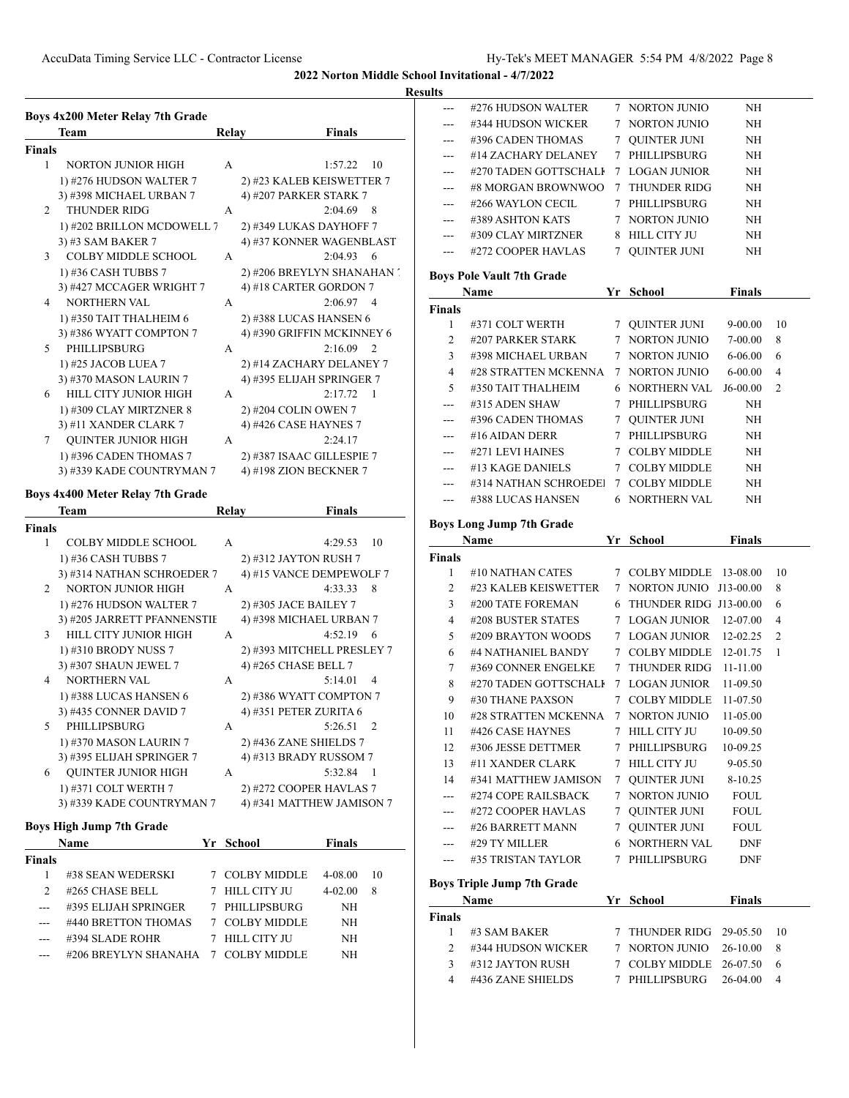### **Results**

|        | Boys 4x200 Meter Relay 7th Grade |              |                            |
|--------|----------------------------------|--------------|----------------------------|
|        | Team                             | Relay        | <b>Finals</b>              |
| Finals |                                  |              |                            |
| 1      | <b>NORTON JUNIOR HIGH</b>        | А            | 1:57.22<br>10              |
|        | 1) #276 HUDSON WALTER 7          |              | 2) #23 KALEB KEISWETTER 7  |
|        | 3) #398 MICHAEL URBAN 7          |              | 4) #207 PARKER STARK 7     |
| 2      | <b>THUNDER RIDG</b>              | А            | 2:04.69<br>8               |
|        | 1) #202 BRILLON MCDOWELL 7       |              | 2) #349 LUKAS DAYHOFF 7    |
|        | 3) #3 SAM BAKER 7                |              | 4) #37 KONNER WAGENBLAST   |
| 3      | <b>COLBY MIDDLE SCHOOL</b>       | A            | 2:04.93<br>6               |
|        | 1) #36 CASH TUBBS 7              |              | 2) #206 BREYLYN SHANAHAN ' |
|        | 3) #427 MCCAGER WRIGHT 7         |              | 4) #18 CARTER GORDON 7     |
| 4      | <b>NORTHERN VAL</b>              | А            | 2:06.97<br>$\overline{4}$  |
|        | 1) #350 TAIT THALHEIM 6          |              | 2) #388 LUCAS HANSEN 6     |
|        | 3) #386 WYATT COMPTON 7          |              | 4) #390 GRIFFIN MCKINNEY 6 |
| 5      | PHILLIPSBURG                     | А            | 2:16.09<br>2               |
|        | 1) #25 JACOB LUEA 7              |              | 2) #14 ZACHARY DELANEY 7   |
|        | 3) #370 MASON LAURIN 7           |              | 4) #395 ELIJAH SPRINGER 7  |
| 6      | HILL CITY JUNIOR HIGH            | А            | 2:17.72<br>1               |
|        | 1) #309 CLAY MIRTZNER 8          |              | 2) #204 COLIN OWEN 7       |
|        | 3) #11 XANDER CLARK 7            |              | 4) #426 CASE HAYNES 7      |
| 7      | <b>QUINTER JUNIOR HIGH</b>       | А            | 2:24.17                    |
|        | 1) #396 CADEN THOMAS 7           |              | 2) #387 ISAAC GILLESPIE 7  |
|        | 3) #339 KADE COUNTRYMAN 7        |              | 4) #198 ZION BECKNER 7     |
|        | Boys 4x400 Meter Relay 7th Grade |              |                            |
|        | Team                             | <b>Relay</b> | <b>Finals</b>              |
| Finals |                                  |              |                            |
| 1      | COLBY MIDDLE SCHOOL              | A            | 4:29.53<br>10              |
|        | 1) #36 CASH TUBBS 7              |              | 2) #312 JAYTON RUSH 7      |
|        | 3) #314 NATHAN SCHROEDER 7       |              | 4) #15 VANCE DEMPEWOLF 7   |
| 2      | <b>NORTON JUNIOR HIGH</b>        | А            | 4:33.33<br>8               |
|        | 1) #276 HUDSON WALTER 7          |              | 2) #305 JACE BAILEY 7      |
|        | 3) #205 JARRETT PFANNENSTIE      |              | 4) #398 MICHAEL URBAN 7    |
| 3      | HILL CITY JUNIOR HIGH            | А            | 4:52.19<br>6               |
|        | 1) #310 BRODY NUSS 7             |              | 2) #393 MITCHELL PRESLEY 7 |
|        | 3) #307 SHAUN JEWEL 7            |              | 4) #265 CHASE BELL 7       |
| 4      | NORTHERN VAL                     | А            | 5:14.01<br>4               |
|        | 1) #388 LUCAS HANSEN 6           |              | 2) #386 WYATT COMPTON 7    |
|        | 3) #435 CONNER DAVID 7           |              | 4) #351 PETER ZURITA 6     |
| 5      | PHILLIPSBURG                     | A            | 5:26.51<br>2               |
|        | 1) #370 MASON LAURIN 7           |              | 2) #436 ZANE SHIELDS 7     |
|        | 3) #395 ELIJAH SPRINGER 7        |              | 4) #313 BRADY RUSSOM 7     |
| 6      | <b>QUINTER JUNIOR HIGH</b>       | А            | 5:32.84<br>1               |
|        | 1) #371 COLT WERTH 7             |              | 2) #272 COOPER HAVLAS 7    |
|        | 3) #339 KADE COUNTRYMAN 7        |              | 4) #341 MATTHEW JAMISON 7  |

### **Boys High Jump 7th Grade**

|        | <b>Name</b>                         |   | Yr School      | <b>Finals</b> |    |
|--------|-------------------------------------|---|----------------|---------------|----|
| Finals |                                     |   |                |               |    |
|        | #38 SEAN WEDERSKI                   |   | 7 COLBY MIDDLE | 4-08.00       | 10 |
|        | #265 CHASE BELL                     |   | HILL CITY JU   | $4 - 02.00$   | 8  |
|        | #395 ELIJAH SPRINGER                | 7 | PHILLIPSBURG   | NH            |    |
|        | #440 BRETTON THOMAS                 |   | 7 COLBY MIDDLE | NH            |    |
|        | #394 SLADE ROHR                     |   | HILL CITY JU   | NH            |    |
|        | #206 BREYLYN SHANAHA 7 COLBY MIDDLE |   |                | NΉ            |    |

| ---            | #276 HUDSON WALTER                        |   | 7 NORTON JUNIO         | NH            |                |
|----------------|-------------------------------------------|---|------------------------|---------------|----------------|
| ---            | #344 HUDSON WICKER                        |   | 7 NORTON JUNIO         | NH            |                |
| ---            | #396 CADEN THOMAS                         |   | 7 OUINTER JUNI         | NH            |                |
| $---$          | #14 ZACHARY DELANEY                       |   | 7 PHILLIPSBURG         | NH            |                |
| ---            | #270 TADEN GOTTSCHALI                     |   | 7 LOGAN JUNIOR         | NH            |                |
| ---            | #8 MORGAN BROWNWOO                        |   | 7 THUNDER RIDG         | NH            |                |
| $---$          | #266 WAYLON CECIL                         |   | 7 PHILLIPSBURG         | NH            |                |
| ---            | #389 ASHTON KATS                          |   | 7 NORTON JUNIO         | NH            |                |
| $---$          | #309 CLAY MIRTZNER                        |   | 8 HILL CITY JU         | NH            |                |
| $\cdots$       | #272 COOPER HAVLAS                        |   | 7 OUINTER JUNI         | NH            |                |
|                | <b>Boys Pole Vault 7th Grade</b>          |   |                        |               |                |
|                | Name                                      |   | Yr School              | Finals        |                |
| <b>Finals</b>  |                                           |   |                        |               |                |
| 1              | #371 COLT WERTH                           |   | 7 QUINTER JUNI         | 9-00.00       | 10             |
| 2              | #207 PARKER STARK                         |   | 7 NORTON JUNIO         | 7-00.00       | 8              |
| 3              | #398 MICHAEL URBAN                        |   | 7 NORTON JUNIO         | 6-06.00       | 6              |
| $\overline{4}$ | #28 STRATTEN MCKENNA                      |   | 7 NORTON JUNIO         | 6-00.00       | 4              |
| 5              | #350 TAIT THALHEIM                        |   | <b>6 NORTHERN VAL</b>  | J6-00.00      | 2              |
| ---            | #315 ADEN SHAW                            |   | 7 PHILLIPSBURG         | NH            |                |
| ---            | #396 CADEN THOMAS                         |   | 7 OUINTER JUNI         | NH            |                |
| ---            | #16 AIDAN DERR                            |   | 7 PHILLIPSBURG         | NH            |                |
| $---$          | #271 LEVI HAINES                          |   | 7 COLBY MIDDLE         | NH            |                |
| ---            | #13 KAGE DANIELS                          |   | 7 COLBY MIDDLE         | NH            |                |
|                |                                           |   |                        |               |                |
| $---$          | #314 NATHAN SCHROEDE 7 COLBY MIDDLE       |   | <b>6 NORTHERN VAL</b>  | NH            |                |
|                | --- #388 LUCAS HANSEN                     |   |                        | NH            |                |
|                | <b>Boys Long Jump 7th Grade</b>           |   |                        |               |                |
|                |                                           |   |                        |               |                |
|                | Name                                      |   | Yr School              | <b>Finals</b> |                |
| Finals         |                                           |   |                        |               |                |
| 1              | #10 NATHAN CATES                          |   | 7 COLBY MIDDLE         | 13-08.00      | 10             |
| $\overline{c}$ | #23 KALEB KEISWETTER                      |   | 7 NORTON JUNIO         | J13-00.00     | 8              |
| 3              | #200 TATE FOREMAN                         | 6 | THUNDER RIDG J13-00.00 |               | 6              |
| 4              | #208 BUSTER STATES                        |   | 7 LOGAN JUNIOR         | 12-07.00      | 4              |
| 5              | #209 BRAYTON WOODS                        |   | 7 LOGAN JUNIOR         | 12-02.25      | $\overline{2}$ |
| 6              | #4 NATHANIEL BANDY                        |   | 7 COLBY MIDDLE         | 12-01.75      | 1              |
| 7              | #369 CONNER ENGELKE                       |   | 7 THUNDER RIDG         | 11-11.00      |                |
| 8              | #270 TADEN GOTTSCHALI                     |   | 7 LOGAN JUNIOR         | 11-09.50      |                |
| 9              | #30 THANE PAXSON                          |   | 7 COLBY MIDDLE         | 11-07.50      |                |
| 10             | #28 STRATTEN MCKENNA 7 NORTON JUNIO       |   |                        | $11-05.00$    |                |
| 11             | #426 CASE HAYNES                          |   | 7 HILL CITY JU         | 10-09.50      |                |
| 12             | #306 JESSE DETTMER                        | 7 | PHILLIPSBURG           | 10-09.25      |                |
| 13             | #11 XANDER CLARK                          |   | 7 HILL CITY JU         | 9-05.50       |                |
| 14             | #341 MATTHEW JAMISON                      |   | 7 QUINTER JUNI         | 8-10.25       |                |
| ---            | #274 COPE RAILSBACK                       | 7 | NORTON JUNIO           | <b>FOUL</b>   |                |
| ---            | #272 COOPER HAVLAS                        |   | 7 QUINTER JUNI         | <b>FOUL</b>   |                |
|                | #26 BARRETT MANN                          |   | 7 QUINTER JUNI         | FOUL          |                |
| ---            | #29 TY MILLER                             |   | <b>6 NORTHERN VAL</b>  | <b>DNF</b>    |                |
| ---            | #35 TRISTAN TAYLOR                        | 7 | PHILLIPSBURG           | DNF           |                |
|                |                                           |   |                        |               |                |
|                | <b>Boys Triple Jump 7th Grade</b><br>Name |   |                        |               |                |
| Finals         |                                           |   | Yr School              | <b>Finals</b> |                |
| 1              | #3 SAM BAKER                              | 7 | THUNDER RIDG           | 29-05.50      | 10             |
| 2              | #344 HUDSON WICKER                        |   | 7 NORTON JUNIO         | 26-10.00      | 8              |

4 #436 ZANE SHIELDS 7 PHILLIPSBURG 26-04.00 4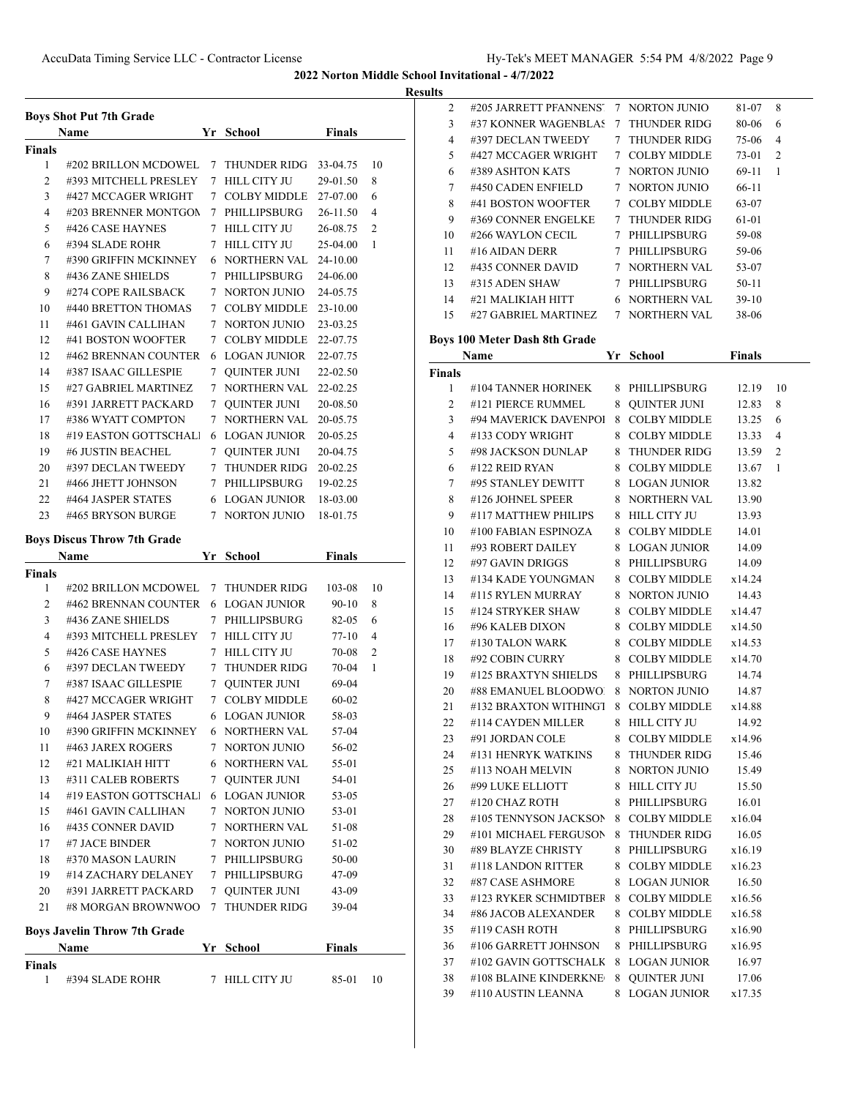**Results**

|                    | <b>Boys Shot Put 7th Grade</b>           |                 |                                  |                      |    |  |  |
|--------------------|------------------------------------------|-----------------|----------------------------------|----------------------|----|--|--|
|                    | Name                                     |                 | Yr School                        | <b>Finals</b>        |    |  |  |
| <b>Finals</b><br>1 | #202 BRILLON MCDOWEL                     |                 | 7 THUNDER RIDG                   | 33-04.75             | 10 |  |  |
| $\overline{c}$     | #393 MITCHELL PRESLEY                    | 7               | <b>HILL CITY JU</b>              | 29-01.50             | 8  |  |  |
| 3                  | #427 MCCAGER WRIGHT                      | $7\phantom{.0}$ | <b>COLBY MIDDLE</b>              | 27-07.00             | 6  |  |  |
| 4                  | #203 BRENNER MONTGON                     |                 | 7 PHILLIPSBURG                   | 26-11.50             | 4  |  |  |
| 5                  | #426 CASE HAYNES                         |                 | 7 HILL CITY JU                   | 26-08.75             | 2  |  |  |
| 6                  | #394 SLADE ROHR                          |                 | 7 HILL CITY JU                   | 25-04.00             | 1  |  |  |
| 7                  | #390 GRIFFIN MCKINNEY                    |                 | 6 NORTHERN VAL                   | 24-10.00             |    |  |  |
| 8                  | #436 ZANE SHIELDS                        |                 | 7 PHILLIPSBURG                   | 24-06.00             |    |  |  |
| 9                  | #274 COPE RAILSBACK                      |                 | 7 NORTON JUNIO                   | 24-05.75             |    |  |  |
| 10                 | #440 BRETTON THOMAS                      |                 | 7 COLBY MIDDLE                   | 23-10.00             |    |  |  |
| 11                 | #461 GAVIN CALLIHAN                      |                 | 7 NORTON JUNIO                   | 23-03.25             |    |  |  |
| 12                 | #41 BOSTON WOOFTER                       |                 | 7 COLBY MIDDLE                   | 22-07.75             |    |  |  |
| 12                 | #462 BRENNAN COUNTER                     |                 | 6 LOGAN JUNIOR                   | 22-07.75             |    |  |  |
| 14                 | #387 ISAAC GILLESPIE                     |                 | 7 QUINTER JUNI                   | 22-02.50             |    |  |  |
| 15                 | #27 GABRIEL MARTINEZ                     |                 | 7 NORTHERN VAL                   | 22-02.25             |    |  |  |
| 16                 | #391 JARRETT PACKARD                     |                 | 7 QUINTER JUNI                   | 20-08.50             |    |  |  |
| 17                 | #386 WYATT COMPTON                       |                 | 7 NORTHERN VAL                   |                      |    |  |  |
|                    | #19 EASTON GOTTSCHALL                    |                 |                                  | 20-05.75<br>20-05.25 |    |  |  |
| 18                 | #6 JUSTIN BEACHEL                        |                 | 6 LOGAN JUNIOR                   |                      |    |  |  |
| 19                 |                                          |                 | 7 QUINTER JUNI                   | 20-04.75             |    |  |  |
| 20                 | #397 DECLAN TWEEDY                       |                 | 7 THUNDER RIDG                   | 20-02.25             |    |  |  |
| 21                 | #466 JHETT JOHNSON<br>#464 JASPER STATES |                 | 7 PHILLIPSBURG                   | 19-02.25             |    |  |  |
| 22<br>23           | #465 BRYSON BURGE                        |                 | 6 LOGAN JUNIOR<br>7 NORTON JUNIO | 18-03.00             |    |  |  |
|                    |                                          |                 |                                  | 18-01.75             |    |  |  |
|                    | <b>Boys Discus Throw 7th Grade</b>       |                 |                                  |                      |    |  |  |
| <b>Finals</b>      | Name                                     |                 | Yr School                        | <b>Finals</b>        |    |  |  |
| 1                  | #202 BRILLON MCDOWEL                     |                 | 7 THUNDER RIDG                   | 103-08               | 10 |  |  |
| $\overline{2}$     | #462 BRENNAN COUNTER                     |                 | 6 LOGAN JUNIOR                   | 90-10                | 8  |  |  |
| 3                  | #436 ZANE SHIELDS                        |                 | 7 PHILLIPSBURG                   |                      |    |  |  |
|                    |                                          |                 |                                  |                      |    |  |  |
|                    |                                          |                 |                                  | 82-05                | 6  |  |  |
| 4                  | #393 MITCHELL PRESLEY                    |                 | 7 HILL CITY JU                   | 77-10                | 4  |  |  |
| 5                  | #426 CASE HAYNES                         |                 | 7 HILL CITY JU                   | 70-08                | 2  |  |  |
| 6                  | #397 DECLAN TWEEDY                       | 7               | THUNDER RIDG                     | 70-04                | 1  |  |  |
| 7                  | #387 ISAAC GILLESPIE                     | 7               | QUINTER JUNI                     | 69-04                |    |  |  |
| 8                  | #427 MCCAGER WRIGHT                      |                 | 7 COLBY MIDDLE                   | $60 - 02$            |    |  |  |
| 9.                 | #464 JASPER STATES                       |                 | 6 LOGAN JUNIOR                   | 58-03                |    |  |  |
| 10                 | #390 GRIFFIN MCKINNEY                    |                 | 6 NORTHERN VAL                   | 57-04                |    |  |  |
| 11                 | #463 JAREX ROGERS                        |                 | 7 NORTON JUNIO                   | 56-02                |    |  |  |
| 12                 | #21 MALIKIAH HITT                        |                 | 6 NORTHERN VAL                   | 55-01                |    |  |  |
| 13                 | #311 CALEB ROBERTS                       |                 | 7 OUINTER JUNI                   | 54-01                |    |  |  |
| 14                 | #19 EASTON GOTTSCHALI                    |                 | <b>6 LOGAN JUNIOR</b>            | 53-05                |    |  |  |
| 15                 | #461 GAVIN CALLIHAN                      |                 | 7 NORTON JUNIO                   | 53-01                |    |  |  |
| 16                 | #435 CONNER DAVID                        |                 | 7 NORTHERN VAL                   | 51-08                |    |  |  |
| 17                 | #7 JACE BINDER                           |                 | 7 NORTON JUNIO                   | 51-02                |    |  |  |
| 18                 | #370 MASON LAURIN                        |                 | 7 PHILLIPSBURG                   | 50-00                |    |  |  |
| 19                 | #14 ZACHARY DELANEY                      |                 | 7 PHILLIPSBURG                   | 47-09                |    |  |  |
| 20                 | #391 JARRETT PACKARD                     |                 | 7 QUINTER JUNI                   | 43-09                |    |  |  |
| 21                 | #8 MORGAN BROWNWOO                       |                 | 7 THUNDER RIDG                   | 39-04                |    |  |  |
|                    | <b>Boys Javelin Throw 7th Grade</b>      |                 |                                  |                      |    |  |  |
| <b>Finals</b>      | Name                                     |                 | Yr School                        | <b>Finals</b>        |    |  |  |

| 2             | #205 JARRETT PFANNENS'                      | 7      | <b>NORTON JUNIO</b>                        | 81-07           | 8  |
|---------------|---------------------------------------------|--------|--------------------------------------------|-----------------|----|
| 3             | #37 KONNER WAGENBLAS                        | 7      | <b>THUNDER RIDG</b>                        | 80-06           | 6  |
| 4             | #397 DECLAN TWEEDY                          | 7      | <b>THUNDER RIDG</b>                        | 75-06           | 4  |
| 5             | #427 MCCAGER WRIGHT                         | 7      | <b>COLBY MIDDLE</b>                        | 73-01           | 2  |
| 6             | #389 ASHTON KATS                            | 7      | <b>NORTON JUNIO</b>                        | 69-11           | 1  |
| 7             | #450 CADEN ENFIELD                          | 7      | <b>NORTON JUNIO</b>                        | 66-11           |    |
| 8             | #41 BOSTON WOOFTER                          | 7      | <b>COLBY MIDDLE</b>                        | 63-07           |    |
| 9             | #369 CONNER ENGELKE                         | 7      | <b>THUNDER RIDG</b>                        | 61-01           |    |
| 10            | #266 WAYLON CECIL                           | 7      | PHILLIPSBURG                               | 59-08           |    |
| 11            | #16 AIDAN DERR                              |        | 7 PHILLIPSBURG                             | 59-06           |    |
| 12            | #435 CONNER DAVID                           |        | 7 NORTHERN VAL                             | 53-07           |    |
| 13            | #315 ADEN SHAW                              | 7      | PHILLIPSBURG                               | 50-11           |    |
| 14            | #21 MALIKIAH HITT                           |        | 6 NORTHERN VAL                             | $39-10$         |    |
| 15            | #27 GABRIEL MARTINEZ                        |        | 7 NORTHERN VAL                             | 38-06           |    |
|               |                                             |        |                                            |                 |    |
|               | Boys 100 Meter Dash 8th Grade               |        |                                            |                 |    |
|               | Name                                        |        | Yr School                                  | <b>Finals</b>   |    |
| <b>Finals</b> |                                             |        |                                            |                 |    |
| 1             | #104 TANNER HORINEK                         | 8      | PHILLIPSBURG                               | 12.19           | 10 |
| 2             | #121 PIERCE RUMMEL                          | 8      | <b>QUINTER JUNI</b>                        | 12.83           | 8  |
| 3             | #94 MAVERICK DAVENPOI                       | 8      | <b>COLBY MIDDLE</b>                        | 13.25           | 6  |
| 4             | #133 CODY WRIGHT                            | 8      | <b>COLBY MIDDLE</b>                        | 13.33           | 4  |
| 5             | #98 JACKSON DUNLAP                          | 8      | <b>THUNDER RIDG</b>                        | 13.59           | 2  |
| 6             | #122 REID RYAN                              | 8      | <b>COLBY MIDDLE</b>                        | 13.67           | 1  |
| 7             | #95 STANLEY DEWITT                          | 8      | <b>LOGAN JUNIOR</b>                        | 13.82           |    |
| 8             | #126 JOHNEL SPEER                           | 8      | NORTHERN VAL                               | 13.90           |    |
| 9             | #117 MATTHEW PHILIPS                        | 8      | <b>HILL CITY JU</b>                        | 13.93           |    |
| 10            | #100 FABIAN ESPINOZA                        | 8      | <b>COLBY MIDDLE</b>                        | 14.01           |    |
| 11            | #93 ROBERT DAILEY                           | 8      | <b>LOGAN JUNIOR</b>                        | 14.09           |    |
| 12            | #97 GAVIN DRIGGS                            | 8      | PHILLIPSBURG                               | 14.09           |    |
| 13            | #134 KADE YOUNGMAN                          | 8      | <b>COLBY MIDDLE</b>                        | x14.24          |    |
| 14            | #115 RYLEN MURRAY                           | 8      | NORTON JUNIO                               | 14.43           |    |
| 15            | #124 STRYKER SHAW                           | 8      | <b>COLBY MIDDLE</b>                        | x14.47          |    |
| 16            | #96 KALEB DIXON                             | 8      | <b>COLBY MIDDLE</b>                        | x14.50          |    |
| 17            | #130 TALON WARK                             | 8      | <b>COLBY MIDDLE</b>                        | x14.53          |    |
| 18            | #92 COBIN CURRY                             | 8      | <b>COLBY MIDDLE</b>                        | x14.70          |    |
| 19            | #125 BRAXTYN SHIELDS                        | 8      | PHILLIPSBURG                               | 14.74           |    |
| 20            | #88 EMANUEL BLOODWO                         | 8      | <b>NORTON JUNIO</b>                        | 14.87           |    |
| 21            | #132 BRAXTON WITHINGT                       | 8      | <b>COLBY MIDDLE</b>                        | x14.88          |    |
| 22            |                                             |        | 8 HILL CITY JU                             | 14.92           |    |
|               | #114 CAYDEN MILLER                          |        |                                            |                 |    |
|               |                                             |        |                                            |                 |    |
| 23            | #91 JORDAN COLE                             |        | 8 COLBY MIDDLE                             | x14.96          |    |
| 24            | #131 HENRYK WATKINS                         | 8      | THUNDER RIDG                               | 15.46           |    |
| 25            | #113 NOAH MELVIN                            | 8      | NORTON JUNIO                               | 15.49           |    |
| 26            | #99 LUKE ELLIOTT                            | 8      | HILL CITY JU                               | 15.50           |    |
| 27            | #120 CHAZ ROTH                              | 8      | PHILLIPSBURG                               | 16.01           |    |
| 28            | #105 TENNYSON JACKSON                       | 8      | <b>COLBY MIDDLE</b>                        | x16.04          |    |
| 29            | #101 MICHAEL FERGUSON                       | 8      | THUNDER RIDG                               | 16.05           |    |
| 30            | #89 BLAYZE CHRISTY                          | 8      | PHILLIPSBURG                               | x16.19          |    |
| 31            | #118 LANDON RITTER                          | 8      | <b>COLBY MIDDLE</b>                        | x16.23          |    |
| 32            | #87 CASE ASHMORE                            | 8      | <b>LOGAN JUNIOR</b>                        | 16.50           |    |
| 33            | #123 RYKER SCHMIDTBEF                       | 8      | <b>COLBY MIDDLE</b>                        | x16.56          |    |
| 34            | #86 JACOB ALEXANDER                         | 8      | <b>COLBY MIDDLE</b>                        | x16.58          |    |
| 35            | #119 CASH ROTH                              | 8      | PHILLIPSBURG                               | x16.90          |    |
| 36            | #106 GARRETT JOHNSON                        | 8      | PHILLIPSBURG                               | x16.95          |    |
| 37            | #102 GAVIN GOTTSCHALK                       | 8      | <b>LOGAN JUNIOR</b>                        | 16.97           |    |
| 38<br>39      | #108 BLAINE KINDERKNE<br>#110 AUSTIN LEANNA | 8<br>8 | <b>QUINTER JUNI</b><br><b>LOGAN JUNIOR</b> | 17.06<br>x17.35 |    |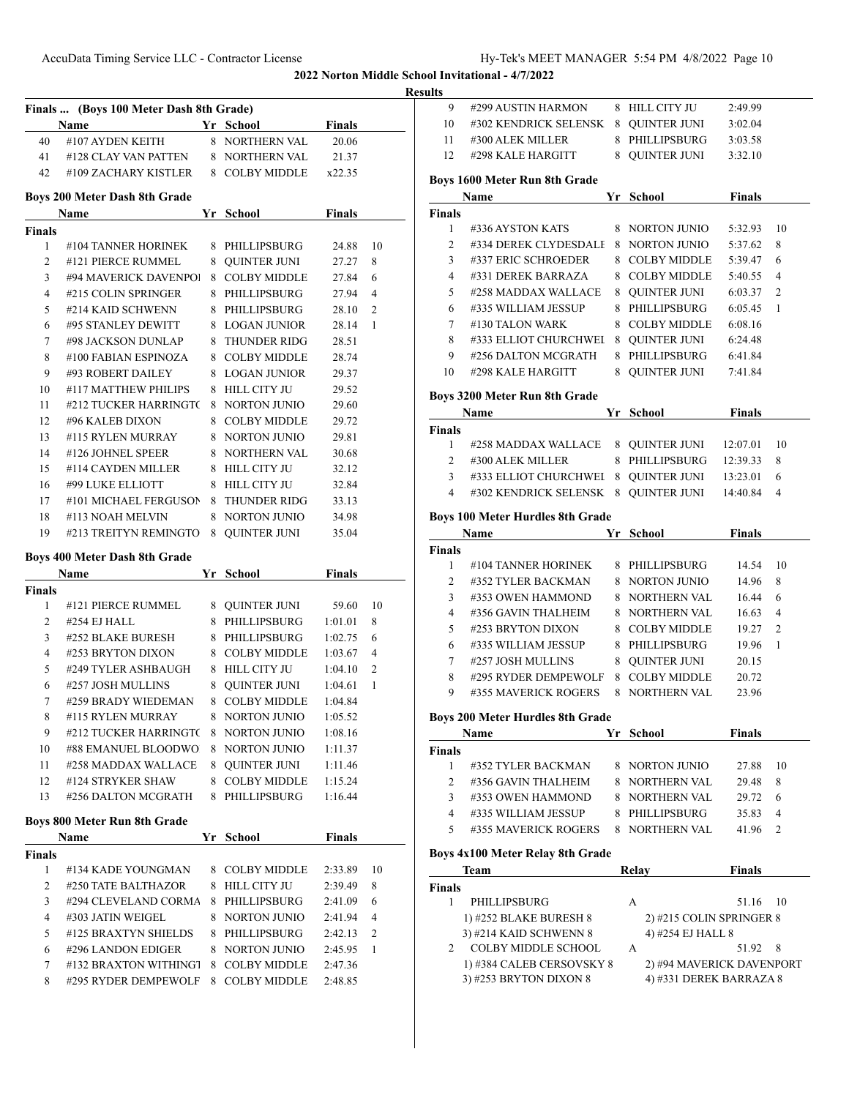**Results**

|                    | Finals  (Boys 100 Meter Dash 8th Grade)<br>Name |   | Yr School                             | <b>Finals</b> |         |
|--------------------|-------------------------------------------------|---|---------------------------------------|---------------|---------|
| 40                 | #107 AYDEN KEITH                                |   | 8 NORTHERN VAL                        | 20.06         |         |
|                    | 41 #128 CLAY VAN PATTEN                         |   | 8 NORTHERN VAL 21.37                  |               |         |
| 42                 | #109 ZACHARY KISTLER 8 COLBY MIDDLE x22.35      |   |                                       |               |         |
|                    | Boys 200 Meter Dash 8th Grade                   |   |                                       |               |         |
|                    | Name                                            |   | Yr School                             | <b>Finals</b> |         |
| <b>Finals</b>      |                                                 |   |                                       |               |         |
| 1                  | #104 TANNER HORINEK                             |   | 8 PHILLIPSBURG                        | 24.88         | 10      |
| 2                  | #121 PIERCE RUMMEL                              |   | 8 QUINTER JUNI                        | 27.27         | 8       |
| 3                  | #94 MAVERICK DAVENPOI                           |   | 8 COLBY MIDDLE                        | 27.84         | 6       |
| 4                  | #215 COLIN SPRINGER                             |   | 8 PHILLIPSBURG                        | 27.94         | 4       |
| 5                  | #214 KAID SCHWENN                               |   | 8 PHILLIPSBURG                        | 28.10         | 2       |
| 6                  | #95 STANLEY DEWITT                              |   | 8 LOGAN JUNIOR                        | 28.14         | 1       |
| 7                  | #98 JACKSON DUNLAP                              |   | 8 THUNDER RIDG                        | 28.51         |         |
| 8                  | #100 FABIAN ESPINOZA                            |   | 8 COLBY MIDDLE                        | 28.74         |         |
| 9                  | #93 ROBERT DAILEY                               |   | 8 LOGAN JUNIOR                        | 29.37         |         |
| 10                 | #117 MATTHEW PHILIPS                            |   | 8 HILL CITY JU                        | 29.52         |         |
| 11                 | #212 TUCKER HARRINGTC                           |   | 8 NORTON JUNIO                        | 29.60         |         |
| 12                 | #96 KALEB DIXON                                 |   | 8 COLBY MIDDLE                        | 29.72         |         |
| 13                 | #115 RYLEN MURRAY                               |   | 8 NORTON JUNIO                        | 29.81         |         |
| 14                 | #126 JOHNEL SPEER                               |   | 8 NORTHERN VAL                        | 30.68         |         |
| 15                 | #114 CAYDEN MILLER                              |   | 8 HILL CITY JU                        | 32.12         |         |
| 16                 | #99 LUKE ELLIOTT                                |   | 8 HILL CITY JU                        | 32.84         |         |
| 17                 | #101 MICHAEL FERGUSON 8 THUNDER RIDG            |   |                                       | 33.13         |         |
| 18                 | #113 NOAH MELVIN                                |   | 8 NORTON JUNIO                        | 34.98         |         |
| 19                 | #213 TREITYN REMINGTO 8 QUINTER JUNI            |   |                                       | 35.04         |         |
|                    | Boys 400 Meter Dash 8th Grade                   |   |                                       |               |         |
|                    | Name                                            |   | Yr School                             | <b>Finals</b> |         |
| <b>Finals</b>      |                                                 |   |                                       |               |         |
|                    |                                                 |   | 8 QUINTER JUNI 59.60                  |               | 10      |
| 1                  | #121 PIERCE RUMMEL                              |   |                                       |               |         |
| 2                  | #254 EJ HALL                                    |   | 8 PHILLIPSBURG                        | 1:01.01       | 8       |
| 3                  | #252 BLAKE BURESH                               |   | 8 PHILLIPSBURG                        | 1:02.75       | 6       |
| 4                  | #253 BRYTON DIXON                               |   | 8 COLBY MIDDLE                        | 1:03.67       | 4       |
| 5                  | #249 TYLER ASHBAUGH                             |   | 8 HILL CITY JU                        | 1:04.10       | 2       |
| 6                  | #257 JOSH MULLINS                               |   | 8 QUINTER JUNI                        | 1:04.61       | 1       |
| 7                  | #259 BRADY WIEDEMAN                             |   | 8 COLBY MIDDLE                        | 1:04.84       |         |
| 8                  | #115 RYLEN MURRAY                               | 8 | <b>NORTON JUNIO</b>                   | 1:05.52       |         |
| 9                  | #212 TUCKER HARRINGT(                           | 8 | NORTON JUNIO                          | 1:08.16       |         |
| 10                 | #88 EMANUEL BLOODWO                             | 8 | <b>NORTON JUNIO</b>                   | 1:11.37       |         |
| 11                 | #258 MADDAX WALLACE                             |   | 8 QUINTER JUNI                        | 1:11.46       |         |
| 12                 | #124 STRYKER SHAW                               |   | 8 COLBY MIDDLE                        | 1:15.24       |         |
| 13                 | #256 DALTON MCGRATH                             |   | 8 PHILLIPSBURG                        | 1:16.44       |         |
|                    | Boys 800 Meter Run 8th Grade                    |   |                                       |               |         |
|                    | Name                                            |   | Yr School                             | <b>Finals</b> |         |
|                    |                                                 |   |                                       |               |         |
| 1                  | #134 KADE YOUNGMAN                              |   | 8 COLBY MIDDLE                        | 2:33.89       |         |
| 2                  | #250 TATE BALTHAZOR                             |   | 8 HILL CITY JU                        | 2:39.49       | 8       |
| 3                  | #294 CLEVELAND CORMA                            |   | 8 PHILLIPSBURG                        | 2:41.09       | 6       |
| 4                  | #303 JATIN WEIGEL                               |   | 8 NORTON JUNIO                        | 2:41.94       | 10<br>4 |
| <b>Finals</b><br>5 | #125 BRAXTYN SHIELDS                            |   | 8 PHILLIPSBURG                        | 2:42.13       | 2       |
| 6                  | #296 LANDON EDIGER                              |   | 8 NORTON JUNIO                        | 2:45.95       | 1       |
| 7                  | #132 BRAXTON WITHINGT<br>#295 RYDER DEMPEWOLF   | 8 | <b>COLBY MIDDLE</b><br>8 COLBY MIDDLE | 2:47.36       |         |

| นเเร           |                                         |    |                     |               |                |
|----------------|-----------------------------------------|----|---------------------|---------------|----------------|
| 9              | #299 AUSTIN HARMON                      |    | 8 HILL CITY JU      | 2:49.99       |                |
| 10             | #302 KENDRICK SELENSK                   |    | 8 QUINTER JUNI      | 3:02.04       |                |
| 11             | #300 ALEK MILLER                        |    | 8 PHILLIPSBURG      | 3:03.58       |                |
| 12             | #298 KALE HARGITT                       |    | 8 OUINTER JUNI      | 3:32.10       |                |
|                | <b>Boys 1600 Meter Run 8th Grade</b>    |    |                     |               |                |
|                | Name                                    |    | Yr School           | <b>Finals</b> |                |
| <b>Finals</b>  |                                         |    |                     |               |                |
| $\mathbf{1}$   | #336 AYSTON KATS                        |    | 8 NORTON JUNIO      | 5:32.93       | 10             |
| 2              | #334 DEREK CLYDESDALI                   | 8  | NORTON JUNIO        | 5:37.62       | 8              |
| 3              | #337 ERIC SCHROEDER                     | 8  | <b>COLBY MIDDLE</b> | 5:39.47       | 6              |
| 4              | #331 DEREK BARRAZA                      | 8  | <b>COLBY MIDDLE</b> | 5:40.55       | $\overline{4}$ |
| 5              | #258 MADDAX WALLACE                     | 8  | <b>QUINTER JUNI</b> | 6:03.37       | $\overline{2}$ |
| 6              | #335 WILLIAM JESSUP                     | 8  | PHILLIPSBURG        | 6:05.45       | 1              |
| 7              | #130 TALON WARK                         | 8  | <b>COLBY MIDDLE</b> | 6:08.16       |                |
| 8              | #333 ELLIOT CHURCHWEI                   | 8  | <b>QUINTER JUNI</b> | 6:24.48       |                |
| 9              | #256 DALTON MCGRATH                     | 8  | PHILLIPSBURG        | 6:41.84       |                |
| 10             | #298 KALE HARGITT                       | 8  | <b>OUINTER JUNI</b> | 7:41.84       |                |
|                | <b>Boys 3200 Meter Run 8th Grade</b>    |    |                     |               |                |
|                | Name                                    |    | Yr School           | <b>Finals</b> |                |
| <b>Finals</b>  |                                         |    |                     |               |                |
| 1              | #258 MADDAX WALLACE                     | 8  | QUINTER JUNI        | 12:07.01      | 10             |
| $\overline{2}$ | #300 ALEK MILLER                        | 8  | PHILLIPSBURG        | 12:39.33      | 8              |
| 3              | #333 ELLIOT CHURCHWEI                   | 8  | QUINTER JUNI        | 13:23.01      | 6              |
| 4              | #302 KENDRICK SELENSK                   | 8  | QUINTER JUNI        | 14:40.84      | 4              |
|                | <b>Boys 100 Meter Hurdles 8th Grade</b> |    |                     |               |                |
|                | Name                                    | Yr | School              | <b>Finals</b> |                |
| <b>Finals</b>  |                                         |    |                     |               |                |
| 1              | #104 TANNER HORINEK                     |    | 8 PHILLIPSBURG      | 14.54         | 10             |
| 2              | #352 TYLER BACKMAN                      |    | 8 NORTON JUNIO      | 14.96         | 8              |
| 3              | #353 OWEN HAMMOND                       |    | 8 NORTHERN VAL      | 16.44         | 6              |
| 4              | #356 GAVIN THALHEIM                     |    | 8 NORTHERN VAL      | 16.63         | 4              |
| 5              | #253 BRYTON DIXON                       |    | 8 COLBY MIDDLE      | 19.27         | $\overline{2}$ |
| 6              | #335 WILLIAM JESSUP                     |    | 8 PHILLIPSBURG      | 19.96         | 1              |
| 7              | #257 JOSH MULLINS                       |    | 8 QUINTER JUNI      | 20.15         |                |
| 8              | #295 RYDER DEMPEWOLF                    | 8  | <b>COLBY MIDDLE</b> | 20.72         |                |
|                |                                         |    |                     |               |                |
| 9              | #355 MAVERICK ROGERS                    | 8  | <b>NORTHERN VAL</b> | 23.96         |                |

### **Boys 200 Meter Hurdles 8th Grade**

| Name          |                      | Vr - | School              | Finals |                |
|---------------|----------------------|------|---------------------|--------|----------------|
| <b>Finals</b> |                      |      |                     |        |                |
|               | #352 TYLER BACKMAN   |      | 8 NORTON JUNIO      | 27.88  | 10             |
|               | #356 GAVIN THALHEIM  |      | 8 NORTHERN VAL      | 29.48  | 8              |
| 3             | #353 OWEN HAMMOND    |      | 8 NORTHERN VAL      | 29.72  | -6             |
| 4             | #335 WILLIAM JESSUP  |      | PHILLIPSBURG        | 35.83  | $\overline{4}$ |
| 5             | #355 MAVERICK ROGERS |      | <b>NORTHERN VAL</b> | 41.96  |                |

### **Boys 4x100 Meter Relay 8th Grade**

 $\overline{\phantom{a}}$ 

|               | <b>Team</b>                | Relav | <b>Finals</b>             |
|---------------|----------------------------|-------|---------------------------|
| <b>Finals</b> |                            |       |                           |
|               | PHILLIPSBURG               | A     | 51.16<br>- 10             |
|               | 1) #252 BLAKE BURESH 8     |       | 2) #215 COLIN SPRINGER 8  |
|               | 3) #214 KAID SCHWENN 8     |       | 4) #254 EJ HALL 8         |
|               | <b>COLBY MIDDLE SCHOOL</b> | А     | 51.92<br>-8               |
|               | 1) #384 CALEB CERSOVSKY 8  |       | 2) #94 MAVERICK DAVENPORT |
|               | 3) #253 BRYTON DIXON 8     |       | 4) #331 DEREK BARRAZA 8   |
|               |                            |       |                           |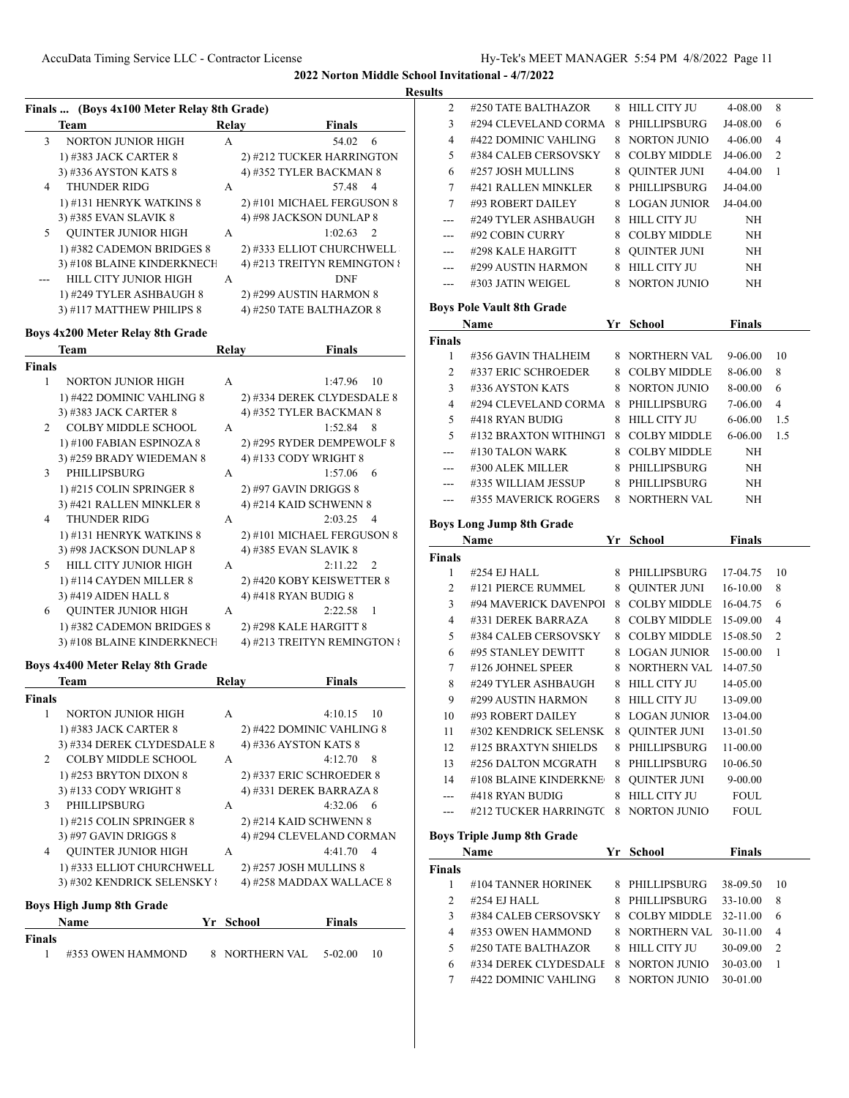## **Results**

|               | Finals  (Boys 4x100 Meter Relay 8th Grade) |       |                           |                             |
|---------------|--------------------------------------------|-------|---------------------------|-----------------------------|
|               | Team                                       | Relay |                           | <b>Finals</b>               |
| 3             | <b>NORTON JUNIOR HIGH</b>                  | А     |                           | 54.02<br>6                  |
|               | 1) #383 JACK CARTER 8                      |       |                           | 2) #212 TUCKER HARRINGTON   |
|               | 3) #336 AYSTON KATS 8                      |       | 4) #352 TYLER BACKMAN 8   |                             |
| 4             | <b>THUNDER RIDG</b>                        | А     |                           | 57.48<br>4                  |
|               | 1) #131 HENRYK WATKINS 8                   |       |                           | 2) #101 MICHAEL FERGUSON 8  |
|               | 3) #385 EVAN SLAVIK 8                      |       | 4) #98 JACKSON DUNLAP 8   |                             |
| 5             | <b>QUINTER JUNIOR HIGH</b>                 | А     |                           | 2<br>1:02.63                |
|               | 1) #382 CADEMON BRIDGES 8                  |       |                           | 2) #333 ELLIOT CHURCHWELL   |
|               | 3) #108 BLAINE KINDERKNECH                 |       |                           | 4) #213 TREITYN REMINGTON { |
|               | HILL CITY JUNIOR HIGH                      | A     |                           | DNF                         |
|               | 1) #249 TYLER ASHBAUGH 8                   |       | 2) #299 AUSTIN HARMON 8   |                             |
|               | 3) #117 MATTHEW PHILIPS 8                  |       | 4) #250 TATE BALTHAZOR 8  |                             |
|               |                                            |       |                           |                             |
|               | Boys 4x200 Meter Relay 8th Grade           |       |                           |                             |
|               | Team                                       | Relay |                           | Finals                      |
| <b>Finals</b> |                                            |       |                           |                             |
| 1             | NORTON JUNIOR HIGH                         | A     |                           | 1:47.96<br>10               |
|               | 1) #422 DOMINIC VAHLING 8                  |       |                           | 2) #334 DEREK CLYDESDALE 8  |
|               | 3) #383 JACK CARTER 8                      |       | 4) #352 TYLER BACKMAN 8   |                             |
| 2             | <b>COLBY MIDDLE SCHOOL</b>                 | А     |                           | 1:52.84<br>8                |
|               | 1) #100 FABIAN ESPINOZA 8                  |       |                           | 2) #295 RYDER DEMPEWOLF 8   |
|               | 3) #259 BRADY WIEDEMAN 8                   |       | 4) #133 CODY WRIGHT 8     |                             |
| 3             | PHILLIPSBURG                               | A     |                           | 6<br>1:57.06                |
|               | 1) #215 COLIN SPRINGER 8                   |       | 2) #97 GAVIN DRIGGS 8     |                             |
|               | 3) #421 RALLEN MINKLER 8                   |       | 4) #214 KAID SCHWENN 8    |                             |
| 4             | <b>THUNDER RIDG</b>                        | A     |                           | 2:03.25<br>4                |
|               | 1) #131 HENRYK WATKINS 8                   |       |                           | 2) #101 MICHAEL FERGUSON 8  |
|               | 3) #98 JACKSON DUNLAP 8                    |       | 4) #385 EVAN SLAVIK 8     |                             |
| 5             | HILL CITY JUNIOR HIGH                      | A     |                           | 2:11.22<br>2                |
|               | 1) #114 CAYDEN MILLER 8                    |       | 2) #420 KOBY KEISWETTER 8 |                             |
|               | 3) #419 AIDEN HALL 8                       |       | 4) #418 RYAN BUDIG 8      |                             |
| 6             | <b>QUINTER JUNIOR HIGH</b>                 | А     |                           | 1<br>2:22.58                |
|               | 1) #382 CADEMON BRIDGES 8                  |       | 2) #298 KALE HARGITT 8    |                             |
|               | 3) #108 BLAINE KINDERKNECH                 |       |                           | 4) #213 TREITYN REMINGTON { |
|               |                                            |       |                           |                             |
|               | Boys 4x400 Meter Relay 8th Grade           |       |                           |                             |
|               | Team                                       | Relay |                           | <b>Finals</b>               |
| Finals        |                                            |       |                           |                             |
| 1             | NORTON JUNIOR HIGH                         | А     |                           | 4:10.15<br>10               |
|               | 1) #383 JACK CARTER 8                      |       | 2) #422 DOMINIC VAHLING 8 |                             |
|               | 3) #334 DEREK CLYDESDALE 8                 |       | 4) #336 AYSTON KATS 8     |                             |
| 2             | <b>COLBY MIDDLE SCHOOL</b>                 | A     |                           | 4:12.70<br>8                |
|               | 1) #253 BRYTON DIXON 8                     |       | 2) #337 ERIC SCHROEDER 8  |                             |
|               | 3) #133 CODY WRIGHT 8                      |       | 4) #331 DEREK BARRAZA 8   |                             |
| 3             | PHILLIPSBURG                               | А     |                           | 4:32.06<br>6                |
|               | 1) #215 COLIN SPRINGER 8                   |       | 2) #214 KAID SCHWENN 8    |                             |
|               | 3) #97 GAVIN DRIGGS 8                      |       |                           | 4) #294 CLEVELAND CORMAN    |
| 4             | QUINTER JUNIOR HIGH                        | A     |                           | 4<br>4:41.70                |
|               | 1) #333 ELLIOT CHURCHWELL                  |       | 2) #257 JOSH MULLINS 8    |                             |
|               | 3) #302 KENDRICK SELENSKY {                |       | 4) #258 MADDAX WALLACE 8  |                             |
|               |                                            |       |                           |                             |
|               | <b>Boys High Jump 8th Grade</b>            |       |                           |                             |
|               | Name<br>Yr                                 |       | <b>School</b>             | <b>Finals</b>               |
| Finals        |                                            |       |                           |                             |
| 1             | #353 OWEN HAMMOND<br>8                     |       | NORTHERN VAL              | 5-02.00<br>10               |
|               |                                            |       |                           |                             |

| 2              | #250 TATE BALTHAZOR               |   | 8 HILL CITY JU      | 4-08.00       | 8   |
|----------------|-----------------------------------|---|---------------------|---------------|-----|
| 3              | #294 CLEVELAND CORMA              | 8 | PHILLIPSBURG        | J4-08.00      | 6   |
| 4              | #422 DOMINIC VAHLING              | 8 | <b>NORTON JUNIO</b> | 4-06.00       | 4   |
| 5              | #384 CALEB CERSOVSKY              | 8 | <b>COLBY MIDDLE</b> | J4-06.00      | 2   |
| 6              | #257 JOSH MULLINS                 | 8 | <b>QUINTER JUNI</b> | 4-04.00       | 1   |
| 7              | #421 RALLEN MINKLER               | 8 | PHILLIPSBURG        | J4-04.00      |     |
| 7              | #93 ROBERT DAILEY                 | 8 | <b>LOGAN JUNIOR</b> | J4-04.00      |     |
| ---            | #249 TYLER ASHBAUGH               | 8 | HILL CITY JU        | NH            |     |
| ---            | #92 COBIN CURRY                   |   | 8 COLBY MIDDLE      | NH            |     |
|                | #298 KALE HARGITT                 |   | 8 QUINTER JUNI      | NH            |     |
| ---            | #299 AUSTIN HARMON                |   | 8 HILL CITY JU      | NH            |     |
| ---            | #303 JATIN WEIGEL                 |   | 8 NORTON JUNIO      | NH            |     |
|                |                                   |   |                     |               |     |
|                | <b>Boys Pole Vault 8th Grade</b>  |   |                     |               |     |
|                | Name                              |   | Yr School           | <b>Finals</b> |     |
| Finals         |                                   |   |                     |               |     |
| 1              | #356 GAVIN THALHEIM               |   | 8 NORTHERN VAL      | 9-06.00       | 10  |
| 2              | #337 ERIC SCHROEDER               |   | 8 COLBY MIDDLE      | 8-06.00       | 8   |
| 3              | #336 AYSTON KATS                  |   | 8 NORTON JUNIO      | 8-00.00       | 6   |
| $\overline{4}$ | #294 CLEVELAND CORMA              | 8 | PHILLIPSBURG        | 7-06.00       | 4   |
| 5              | #418 RYAN BUDIG                   | 8 | HILL CITY JU        | 6-06.00       | 1.5 |
| 5              | #132 BRAXTON WITHINGT             |   | 8 COLBY MIDDLE      | 6-06.00       | 1.5 |
| ---            | #130 TALON WARK                   |   | 8 COLBY MIDDLE      | NH            |     |
|                | #300 ALEK MILLER                  |   | 8 PHILLIPSBURG      | NH            |     |
| ---            | #335 WILLIAM JESSUP               |   | 8 PHILLIPSBURG      | NH            |     |
|                | #355 MAVERICK ROGERS              |   | 8 NORTHERN VAL      | NH            |     |
| ---            |                                   |   |                     |               |     |
|                | <b>Boys Long Jump 8th Grade</b>   |   |                     |               |     |
|                | Name                              |   | Yr School           | <b>Finals</b> |     |
|                |                                   |   |                     |               |     |
|                |                                   |   |                     |               |     |
| Finals<br>1    |                                   | 8 |                     |               | 10  |
|                | #254 EJ HALL                      |   | PHILLIPSBURG        | 17-04.75      |     |
| 2              | #121 PIERCE RUMMEL                | 8 | QUINTER JUNI        | 16-10.00      | 8   |
| 3              | #94 MAVERICK DAVENPOI             |   | 8 COLBY MIDDLE      | 16-04.75      | 6   |
| $\overline{4}$ | #331 DEREK BARRAZA                | 8 | <b>COLBY MIDDLE</b> | 15-09.00      | 4   |
| 5              | #384 CALEB CERSOVSKY              |   | 8 COLBY MIDDLE      | 15-08.50      | 2   |
| 6              | #95 STANLEY DEWITT                | 8 | <b>LOGAN JUNIOR</b> | 15-00.00      | 1   |
| 7              | #126 JOHNEL SPEER                 | 8 | NORTHERN VAL        | 14-07.50      |     |
| 8              | #249 TYLER ASHBAUGH               |   | 8 HILL CITY JU      | 14-05.00      |     |
| 9              | #299 AUSTIN HARMON                |   | 8 HILL CITY JU      | 13-09.00      |     |
| 10             | #93 ROBERT DAILEY                 |   | 8 LOGAN JUNIOR      | 13-04.00      |     |
| 11             | #302 KENDRICK SELENSK             |   | 8 QUINTER JUNI      | 13-01.50      |     |
| 12             | #125 BRAXTYN SHIELDS              |   | 8 PHILLIPSBURG      | 11-00.00      |     |
| 13             | #256 DALTON MCGRATH               | 8 | PHILLIPSBURG        | 10-06.50      |     |
| 14             | #108 BLAINE KINDERKNE             |   | 8 QUINTER JUNI      | $9 - 00.00$   |     |
| $---$          | #418 RYAN BUDIG                   |   | 8 HILL CITY JU      | <b>FOUL</b>   |     |
| ---            | #212 TUCKER HARRINGTC             |   | 8 NORTON JUNIO      | <b>FOUL</b>   |     |
|                |                                   |   |                     |               |     |
|                | <b>Boys Triple Jump 8th Grade</b> |   |                     |               |     |
|                | Name                              |   | Yr School           | <b>Finals</b> |     |
| <b>Finals</b>  |                                   |   |                     |               |     |
| 1              | #104 TANNER HORINEK               |   | 8 PHILLIPSBURG      | 38-09.50      | 10  |
| 2              | #254 EJ HALL                      |   | 8 PHILLIPSBURG      | 33-10.00      | 8   |
| 3              | #384 CALEB CERSOVSKY              |   | 8 COLBY MIDDLE      | 32-11.00      | 6   |
| 4              | #353 OWEN HAMMOND                 |   | 8 NORTHERN VAL      | 30-11.00      | 4   |
| 5              | #250 TATE BALTHAZOR               |   | 8 HILL CITY JU      | 30-09.00      | 2   |
| 6              | #334 DEREK CLYDESDALI             |   | 8 NORTON JUNIO      | 30-03.00      | 1   |
| 7              | #422 DOMINIC VAHLING              |   | 8 NORTON JUNIO      | 30-01.00      |     |